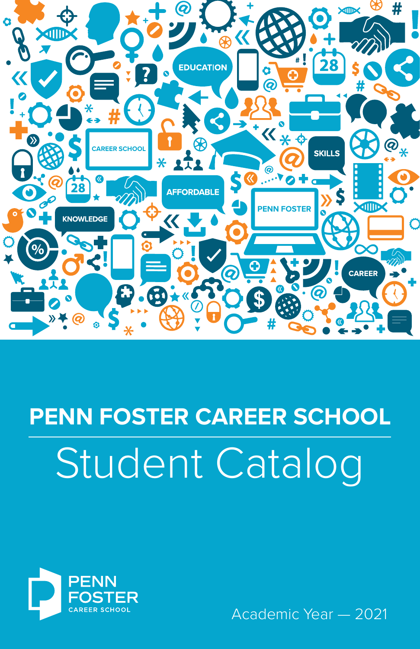

# Student Catalog **PENN FOSTER CAREER SCHOOL**



Academic Year — 2021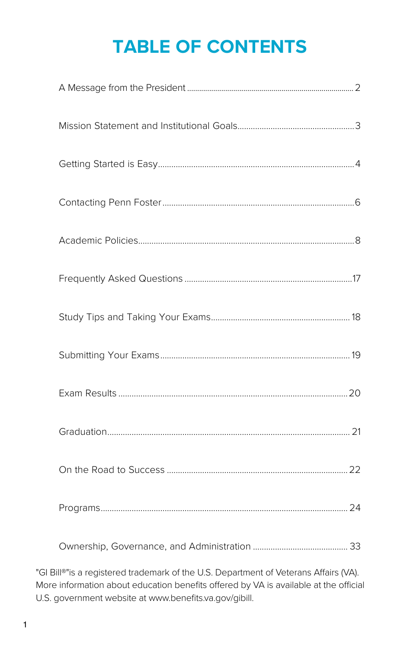# **TABLE OF CONTENTS**

"GI Bill®"is a registered trademark of the U.S. Department of Veterans Affairs (VA). More information about education benefits offered by VA is available at the official U.S. government website at www.benefits.va.gov/gibill.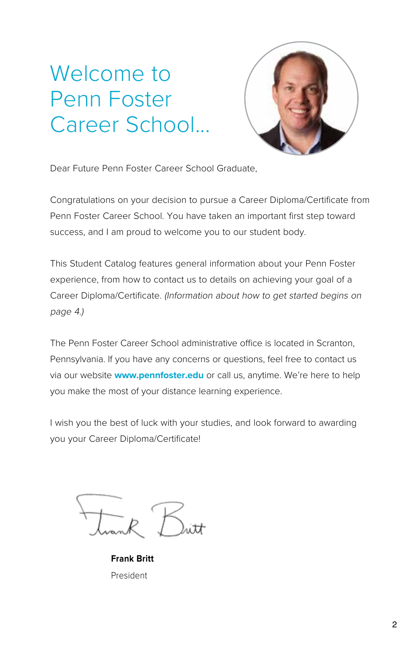# Welcome to Penn Foster Career School...



Dear Future Penn Foster Career School Graduate,

Congratulations on your decision to pursue a Career Diploma/Certificate from Penn Foster Career School. You have taken an important first step toward success, and I am proud to welcome you to our student body.

This Student Catalog features general information about your Penn Foster experience, from how to contact us to details on achieving your goal of a Career Diploma/Certificate. (Information about how to get started begins on page 4.)

The Penn Foster Career School administrative office is located in Scranton, Pennsylvania. If you have any concerns or questions, feel free to contact us via our website **www.pennfoster.edu** or call us, anytime. We're here to help you make the most of your distance learning experience.

I wish you the best of luck with your studies, and look forward to awarding you your Career Diploma/Certificate!

**Frank Britt** President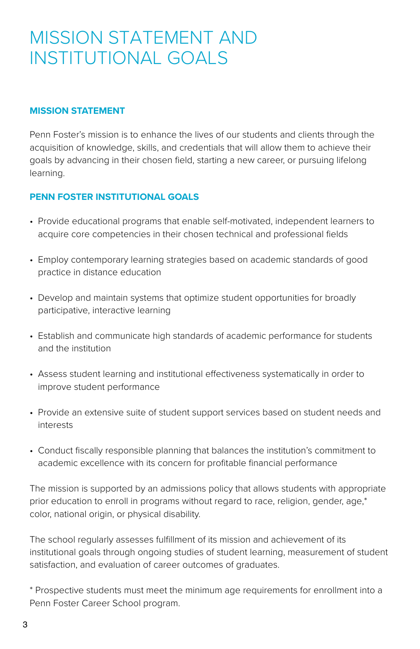### MISSION STATEMENT AND INSTITUTIONAL GOALS

#### **MISSION STATEMENT**

Penn Foster's mission is to enhance the lives of our students and clients through the acquisition of knowledge, skills, and credentials that will allow them to achieve their goals by advancing in their chosen field, starting a new career, or pursuing lifelong learning.

#### **PENN FOSTER INSTITUTIONAL GOALS**

- Provide educational programs that enable self-motivated, independent learners to acquire core competencies in their chosen technical and professional fields
- Employ contemporary learning strategies based on academic standards of good practice in distance education
- Develop and maintain systems that optimize student opportunities for broadly participative, interactive learning
- Establish and communicate high standards of academic performance for students and the institution
- Assess student learning and institutional effectiveness systematically in order to improve student performance
- Provide an extensive suite of student support services based on student needs and interests
- Conduct fiscally responsible planning that balances the institution's commitment to academic excellence with its concern for profitable financial performance

The mission is supported by an admissions policy that allows students with appropriate prior education to enroll in programs without regard to race, religion, gender, age,\* color, national origin, or physical disability.

The school regularly assesses fulfillment of its mission and achievement of its institutional goals through ongoing studies of student learning, measurement of student satisfaction, and evaluation of career outcomes of graduates.

\* Prospective students must meet the minimum age requirements for enrollment into a Penn Foster Career School program.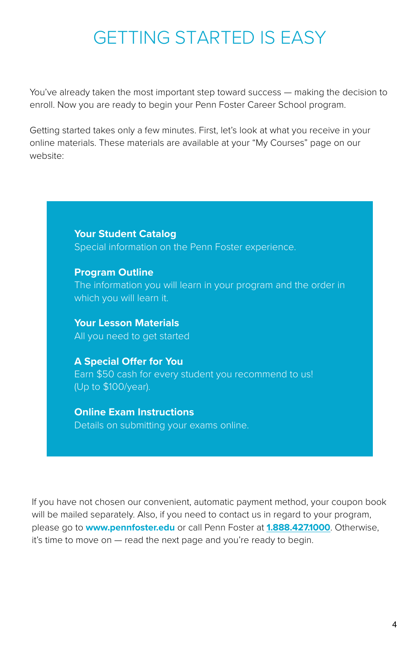### GETTING STARTED IS EASY

You've already taken the most important step toward success — making the decision to enroll. Now you are ready to begin your Penn Foster Career School program.

Getting started takes only a few minutes. First, let's look at what you receive in your online materials. These materials are available at your "My Courses" page on our website:

> **Your Student Catalog** Special information on the Penn Foster experience.

**Program Outline** The information you will learn in your program and the order in which you will learn it.

**Your Lesson Materials** All you need to get started

**A Special Offer for You** Earn \$50 cash for every student you recommend to us! (Up to \$100/year).

**Online Exam Instructions** Details on submitting your exams online.

If you have not chosen our convenient, automatic payment method, your coupon book will be mailed separately. Also, if you need to contact us in regard to your program, please go to **www.pennfoster.edu** or call Penn Foster at **[1.888.427.1000](Tel:1.888.427.1000)**. Otherwise, it's time to move on — read the next page and you're ready to begin.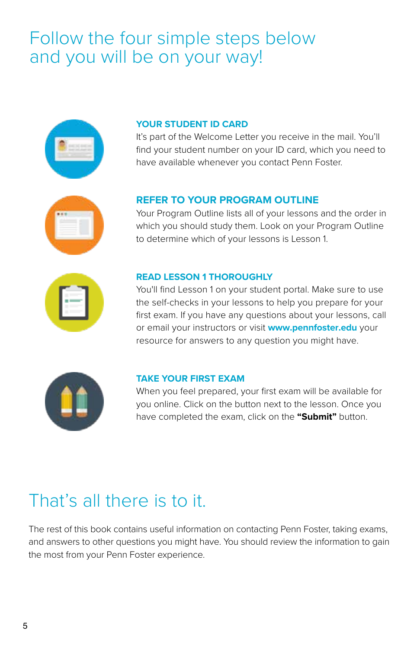### Follow the four simple steps below and you will be on your way!



#### **YOUR STUDENT ID CARD**

It's part of the Welcome Letter you receive in the mail. You'll find your student number on your ID card, which you need to have available whenever you contact Penn Foster.



#### **REFER TO YOUR PROGRAM OUTLINE**

Your Program Outline lists all of your lessons and the order in which you should study them. Look on your Program Outline to determine which of your lessons is Lesson 1.



#### **READ LESSON 1 THOROUGHLY**

You'll find Lesson 1 on your student portal. Make sure to use the self-checks in your lessons to help you prepare for your first exam. If you have any questions about your lessons, call or email your instructors or visit **www.pennfoster.edu** your resource for answers to any question you might have.



#### **TAKE YOUR FIRST EXAM**

When you feel prepared, your first exam will be available for you online. Click on the button next to the lesson. Once you have completed the exam, click on the **"Submit"** button.

### That's all there is to it.

The rest of this book contains useful information on contacting Penn Foster, taking exams, and answers to other questions you might have. You should review the information to gain the most from your Penn Foster experience.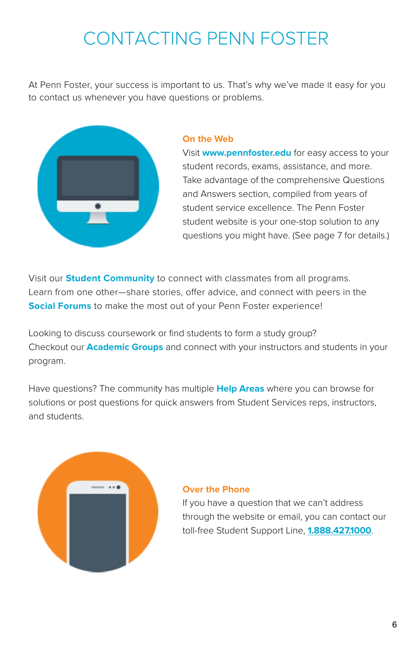# CONTACTING PENN FOSTER

At Penn Foster, your success is important to us. That's why we've made it easy for you to contact us whenever you have questions or problems.



#### **On the Web**

Visit **www.pennfoster.edu** for easy access to your student records, exams, assistance, and more. Take advantage of the comprehensive Questions and Answers section, compiled from years of student service excellence. The Penn Foster student website is your one-stop solution to any questions you might have. (See page 7 for details.)

Visit our **Student Community** to connect with classmates from all programs. Learn from one other—share stories, offer advice, and connect with peers in the **Social Forums** to make the most out of your Penn Foster experience!

Looking to discuss coursework or find students to form a study group? Checkout our **Academic Groups** and connect with your instructors and students in your program.

Have questions? The community has multiple **Help Areas** where you can browse for solutions or post questions for quick answers from Student Services reps, instructors, and students.



#### **Over the Phone**

If you have a question that we can't address through the website or email, you can contact our toll-free Student Support Line, **[1.888.427.1000](Tel:1.888.427.1000)**.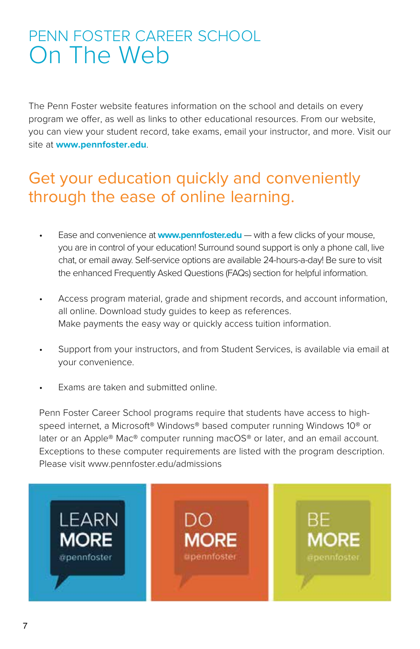### PENN FOSTER CAREER SCHOOL On The Web

The Penn Foster website features information on the school and details on every program we offer, as well as links to other educational resources. From our website, you can view your student record, take exams, email your instructor, and more. Visit our site at **www.pennfoster.edu**.

### Get your education quickly and conveniently through the ease of online learning.

- Ease and convenience at **www.pennfoster.edu** with a few clicks of your mouse, you are in control of your education! Surround sound support is only a phone call, live chat, or email away. Self-service options are available 24-hours-a-day! Be sure to visit the enhanced Frequently Asked Questions (FAQs) section for helpful information.
- Access program material, grade and shipment records, and account information, all online. Download study guides to keep as references. Make payments the easy way or quickly access tuition information.
- Support from your instructors, and from Student Services, is available via email at your convenience.
- Exams are taken and submitted online.

Penn Foster Career School programs require that students have access to highspeed internet, a Microsoft® Windows® based computer running Windows 10® or later or an Apple® Mac® computer running macOS® or later, and an email account. Exceptions to these computer requirements are listed with the program description. Please visit www.pennfoster.edu/admissions

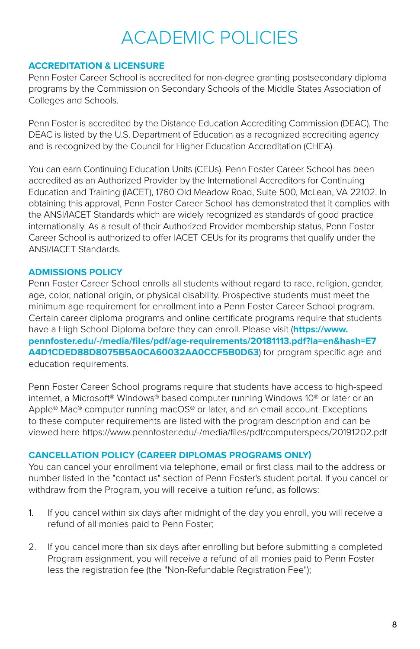# ACADEMIC POLICIES

#### **ACCREDITATION & LICENSURE**

Penn Foster Career School is accredited for non-degree granting postsecondary diploma programs by the Commission on Secondary Schools of the Middle States Association of Colleges and Schools.

Penn Foster is accredited by the Distance Education Accrediting Commission (DEAC). The DEAC is listed by the U.S. Department of Education as a recognized accrediting agency and is recognized by the Council for Higher Education Accreditation (CHEA).

You can earn Continuing Education Units (CEUs). Penn Foster Career School has been accredited as an Authorized Provider by the International Accreditors for Continuing Education and Training (IACET), 1760 Old Meadow Road, Suite 500, McLean, VA 22102. In obtaining this approval, Penn Foster Career School has demonstrated that it complies with the ANSI/IACET Standards which are widely recognized as standards of good practice internationally. As a result of their Authorized Provider membership status, Penn Foster Career School is authorized to offer IACET CEUs for its programs that qualify under the ANSI/IACET Standards.

#### **ADMISSIONS POLICY**

Penn Foster Career School enrolls all students without regard to race, religion, gender, age, color, national origin, or physical disability. Prospective students must meet the minimum age requirement for enrollment into a Penn Foster Career School program. Certain career diploma programs and online certificate programs require that students have a High School Diploma before they can enroll. Please visit (**https://www. pennfoster.edu/-/media/files/pdf/age-requirements/20181113.pdf?la=en&hash=E7 A4D1CDED88D8075B5A0CA60032AA0CCF5B0D63**) for program specific age and education requirements.

Penn Foster Career School programs require that students have access to high-speed internet, a Microsoft® Windows® based computer running Windows 10® or later or an Apple® Mac® computer running macOS® or later, and an email account. Exceptions to these computer requirements are listed with the program description and can be viewed here https://www.pennfoster.edu/-/media/files/pdf/computerspecs/20191202.pdf

#### **CANCELLATION POLICY (CAREER DIPLOMAS PROGRAMS ONLY)**

You can cancel your enrollment via telephone, email or first class mail to the address or number listed in the "contact us" section of Penn Foster's student portal. If you cancel or withdraw from the Program, you will receive a tuition refund, as follows:

- 1. If you cancel within six days after midnight of the day you enroll, you will receive a refund of all monies paid to Penn Foster;
- 2. If you cancel more than six days after enrolling but before submitting a completed Program assignment, you will receive a refund of all monies paid to Penn Foster less the registration fee (the "Non-Refundable Registration Fee");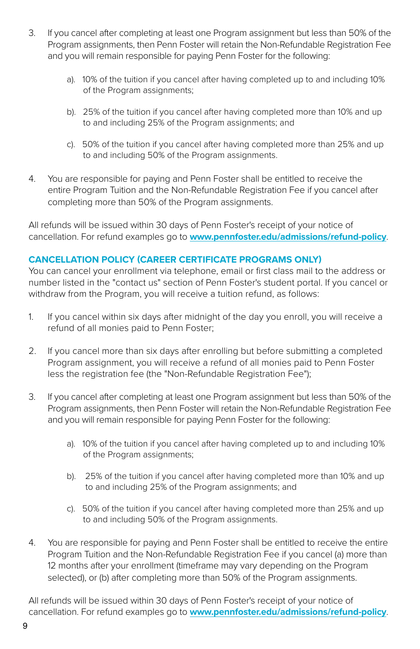- 3. If you cancel after completing at least one Program assignment but less than 50% of the Program assignments, then Penn Foster will retain the Non-Refundable Registration Fee and you will remain responsible for paying Penn Foster for the following:
	- a). 10% of the tuition if you cancel after having completed up to and including 10% of the Program assignments;
	- b). 25% of the tuition if you cancel after having completed more than 10% and up to and including 25% of the Program assignments; and
	- c). 50% of the tuition if you cancel after having completed more than 25% and up to and including 50% of the Program assignments.
- 4. You are responsible for paying and Penn Foster shall be entitled to receive the entire Program Tuition and the Non-Refundable Registration Fee if you cancel after completing more than 50% of the Program assignments.

All refunds will be issued within 30 days of Penn Foster's receipt of your notice of cancellation. For refund examples go to **[www.pennfoster.edu/admissions/refund-policy](http://www.pennfoster.edu/admissions/refund-policy)**.

#### **CANCELLATION POLICY (CAREER CERTIFICATE PROGRAMS ONLY)**

You can cancel your enrollment via telephone, email or first class mail to the address or number listed in the "contact us" section of Penn Foster's student portal. If you cancel or withdraw from the Program, you will receive a tuition refund, as follows:

- 1. If you cancel within six days after midnight of the day you enroll, you will receive a refund of all monies paid to Penn Foster;
- 2. If you cancel more than six days after enrolling but before submitting a completed Program assignment, you will receive a refund of all monies paid to Penn Foster less the registration fee (the "Non-Refundable Registration Fee");
- 3. If you cancel after completing at least one Program assignment but less than 50% of the Program assignments, then Penn Foster will retain the Non-Refundable Registration Fee and you will remain responsible for paying Penn Foster for the following:
	- a). 10% of the tuition if you cancel after having completed up to and including 10% of the Program assignments;
	- b). 25% of the tuition if you cancel after having completed more than 10% and up to and including 25% of the Program assignments; and
	- c). 50% of the tuition if you cancel after having completed more than 25% and up to and including 50% of the Program assignments.
- 4. You are responsible for paying and Penn Foster shall be entitled to receive the entire Program Tuition and the Non-Refundable Registration Fee if you cancel (a) more than 12 months after your enrollment (timeframe may vary depending on the Program selected), or (b) after completing more than 50% of the Program assignments.

All refunds will be issued within 30 days of Penn Foster's receipt of your notice of cancellation. For refund examples go to **[www.pennfoster.edu/admissions/refund-policy](http://www.pennfoster.edu/admissions/refund-policy)**.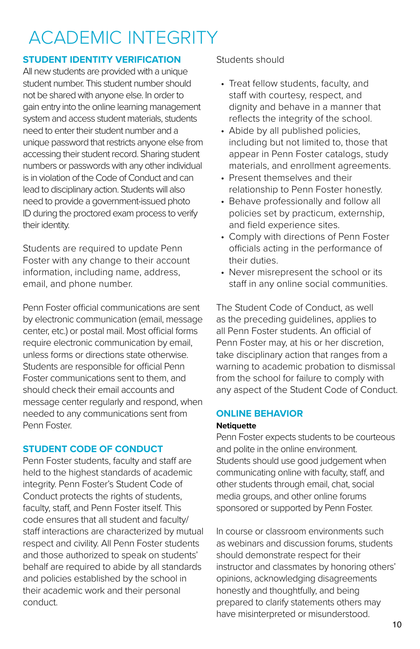# ACADEMIC INTEGRITY

#### **STUDENT IDENTITY VERIFICATION**

All new students are provided with a unique student number. This student number should not be shared with anyone else. In order to gain entry into the online learning management system and access student materials, students need to enter their student number and a unique password that restricts anyone else from accessing their student record. Sharing student numbers or passwords with any other individual is in violation of the Code of Conduct and can lead to disciplinary action. Students will also need to provide a government-issued photo ID during the proctored exam process to verify their identity.

Students are required to update Penn Foster with any change to their account information, including name, address, email, and phone number.

Penn Foster official communications are sent by electronic communication (email, message center, etc.) or postal mail. Most official forms require electronic communication by email, unless forms or directions state otherwise. Students are responsible for official Penn Foster communications sent to them, and should check their email accounts and message center regularly and respond, when needed to any communications sent from Penn Foster.

#### **STUDENT CODE OF CONDUCT**

Penn Foster students, faculty and staff are held to the highest standards of academic integrity. Penn Foster's Student Code of Conduct protects the rights of students, faculty, staff, and Penn Foster itself. This code ensures that all student and faculty/ staff interactions are characterized by mutual respect and civility. All Penn Foster students and those authorized to speak on students' behalf are required to abide by all standards and policies established by the school in their academic work and their personal conduct.

#### Students should

- Treat fellow students, faculty, and staff with courtesy, respect, and dignity and behave in a manner that reflects the integrity of the school.
- Abide by all published policies, including but not limited to, those that appear in Penn Foster catalogs, study materials, and enrollment agreements.
- Present themselves and their relationship to Penn Foster honestly.
- Behave professionally and follow all policies set by practicum, externship, and field experience sites.
- Comply with directions of Penn Foster officials acting in the performance of their duties.
- Never misrepresent the school or its staff in any online social communities.

The Student Code of Conduct, as well as the preceding guidelines, applies to all Penn Foster students. An official of Penn Foster may, at his or her discretion, take disciplinary action that ranges from a warning to academic probation to dismissal from the school for failure to comply with any aspect of the Student Code of Conduct.

#### **ONLINE BEHAVIOR**

#### **Netiquette**

Penn Foster expects students to be courteous and polite in the online environment. Students should use good judgement when communicating online with faculty, staff, and other students through email, chat, social media groups, and other online forums sponsored or supported by Penn Foster.

In course or classroom environments such as webinars and discussion forums, students should demonstrate respect for their instructor and classmates by honoring others' opinions, acknowledging disagreements honestly and thoughtfully, and being prepared to clarify statements others may have misinterpreted or misunderstood.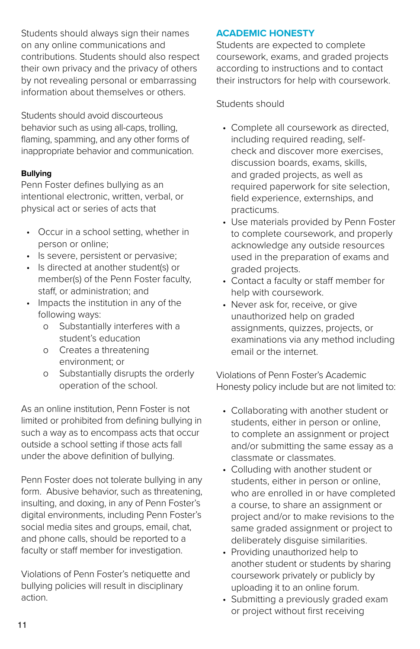Students should always sign their names on any online communications and contributions. Students should also respect their own privacy and the privacy of others by not revealing personal or embarrassing information about themselves or others.

Students should avoid discourteous behavior such as using all-caps, trolling, flaming, spamming, and any other forms of inappropriate behavior and communication.

#### **Bullying**

Penn Foster defines bullying as an intentional electronic, written, verbal, or physical act or series of acts that

- Occur in a school setting, whether in person or online;
- Is severe, persistent or pervasive;
- Is directed at another student(s) or member(s) of the Penn Foster faculty, staff, or administration; and
- Impacts the institution in any of the following ways:
	- o Substantially interferes with a student's education
	- o Creates a threatening environment; or
	- o Substantially disrupts the orderly operation of the school.

As an online institution, Penn Foster is not limited or prohibited from defining bullying in such a way as to encompass acts that occur outside a school setting if those acts fall under the above definition of bullying.

Penn Foster does not tolerate bullying in any form. Abusive behavior, such as threatening, insulting, and doxing, in any of Penn Foster's digital environments, including Penn Foster's social media sites and groups, email, chat, and phone calls, should be reported to a faculty or staff member for investigation.

Violations of Penn Foster's netiquette and bullying policies will result in disciplinary action.

#### **ACADEMIC HONESTY**

Students are expected to complete coursework, exams, and graded projects according to instructions and to contact their instructors for help with coursework.

#### Students should

- Complete all coursework as directed, including required reading, selfcheck and discover more exercises, discussion boards, exams, skills, and graded projects, as well as required paperwork for site selection, field experience, externships, and practicums.
- Use materials provided by Penn Foster to complete coursework, and properly acknowledge any outside resources used in the preparation of exams and graded projects.
- Contact a faculty or staff member for help with coursework.
- Never ask for, receive, or give unauthorized help on graded assignments, quizzes, projects, or examinations via any method including email or the internet.

Violations of Penn Foster's Academic Honesty policy include but are not limited to:

- Collaborating with another student or students, either in person or online, to complete an assignment or project and/or submitting the same essay as a classmate or classmates.
- Colluding with another student or students, either in person or online, who are enrolled in or have completed a course, to share an assignment or project and/or to make revisions to the same graded assignment or project to deliberately disguise similarities.
- Providing unauthorized help to another student or students by sharing coursework privately or publicly by uploading it to an online forum.
- Submitting a previously graded exam or project without first receiving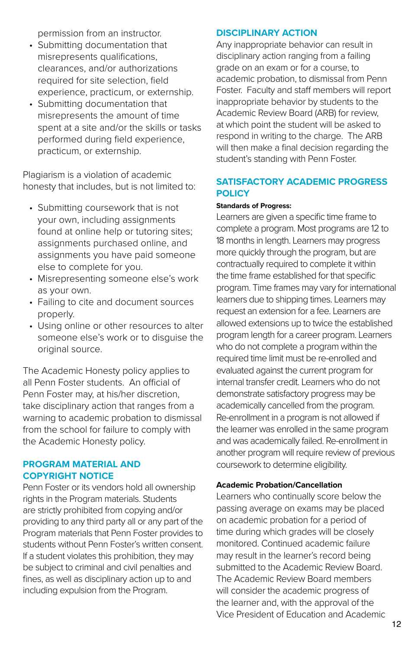permission from an instructor.

- Submitting documentation that misrepresents qualifications, clearances, and/or authorizations required for site selection, field experience, practicum, or externship.
- Submitting documentation that misrepresents the amount of time spent at a site and/or the skills or tasks performed during field experience, practicum, or externship.

Plagiarism is a violation of academic honesty that includes, but is not limited to:

- Submitting coursework that is not your own, including assignments found at online help or tutoring sites; assignments purchased online, and assignments you have paid someone else to complete for you.
- Misrepresenting someone else's work as your own.
- Failing to cite and document sources properly.
- Using online or other resources to alter someone else's work or to disguise the original source.

The Academic Honesty policy applies to all Penn Foster students. An official of Penn Foster may, at his/her discretion, take disciplinary action that ranges from a warning to academic probation to dismissal from the school for failure to comply with the Academic Honesty policy.

#### **PROGRAM MATERIAL AND COPYRIGHT NOTICE**

Penn Foster or its vendors hold all ownership rights in the Program materials. Students are strictly prohibited from copying and/or providing to any third party all or any part of the Program materials that Penn Foster provides to students without Penn Foster's written consent. If a student violates this prohibition, they may be subject to criminal and civil penalties and fines, as well as disciplinary action up to and including expulsion from the Program.

#### **DISCIPLINARY ACTION**

Any inappropriate behavior can result in disciplinary action ranging from a failing grade on an exam or for a course, to academic probation, to dismissal from Penn Foster. Faculty and staff members will report inappropriate behavior by students to the Academic Review Board (ARB) for review, at which point the student will be asked to respond in writing to the charge. The ARB will then make a final decision regarding the student's standing with Penn Foster.

#### **SATISFACTORY ACADEMIC PROGRESS POLICY**

#### **Standards of Progress:**

Learners are given a specific time frame to complete a program. Most programs are 12 to 18 months in length. Learners may progress more quickly through the program, but are contractually required to complete it within the time frame established for that specific program. Time frames may vary for international learners due to shipping times. Learners may request an extension for a fee. Learners are allowed extensions up to twice the established program length for a career program. Learners who do not complete a program within the required time limit must be re-enrolled and evaluated against the current program for internal transfer credit. Learners who do not demonstrate satisfactory progress may be academically cancelled from the program. Re-enrollment in a program is not allowed if the learner was enrolled in the same program and was academically failed. Re-enrollment in another program will require review of previous coursework to determine eligibility.

#### **Academic Probation/Cancellation**

Learners who continually score below the passing average on exams may be placed on academic probation for a period of time during which grades will be closely monitored. Continued academic failure may result in the learner's record being submitted to the Academic Review Board. The Academic Review Board members will consider the academic progress of the learner and, with the approval of the Vice President of Education and Academic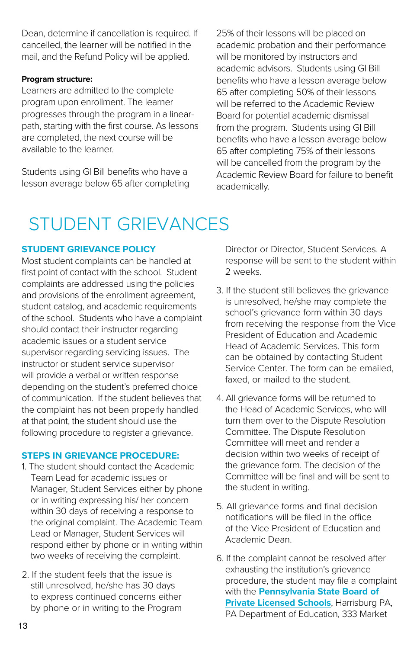Dean, determine if cancellation is required. If cancelled, the learner will be notified in the mail, and the Refund Policy will be applied.

#### **Program structure:**

Learners are admitted to the complete program upon enrollment. The learner progresses through the program in a linearpath, starting with the first course. As lessons are completed, the next course will be available to the learner.

Students using GI Bill benefits who have a lesson average below 65 after completing 25% of their lessons will be placed on academic probation and their performance will be monitored by instructors and academic advisors. Students using GI Bill benefits who have a lesson average below 65 after completing 50% of their lessons will be referred to the Academic Review Board for potential academic dismissal from the program. Students using GI Bill benefits who have a lesson average below 65 after completing 75% of their lessons will be cancelled from the program by the Academic Review Board for failure to benefit academically.

## STUDENT GRIEVANCES

#### **STUDENT GRIEVANCE POLICY**

Most student complaints can be handled at first point of contact with the school. Student complaints are addressed using the policies and provisions of the enrollment agreement, student catalog, and academic requirements of the school. Students who have a complaint should contact their instructor regarding academic issues or a student service supervisor regarding servicing issues. The instructor or student service supervisor will provide a verbal or written response depending on the student's preferred choice of communication. If the student believes that the complaint has not been properly handled at that point, the student should use the following procedure to register a grievance.

#### **STEPS IN GRIEVANCE PROCEDURE:**

- 1. The student should contact the Academic Team Lead for academic issues or Manager, Student Services either by phone or in writing expressing his/ her concern within 30 days of receiving a response to the original complaint. The Academic Team Lead or Manager, Student Services will respond either by phone or in writing within two weeks of receiving the complaint.
- 2. If the student feels that the issue is still unresolved, he/she has 30 days to express continued concerns either by phone or in writing to the Program

Director or Director, Student Services. A response will be sent to the student within 2 weeks.

- 3. If the student still believes the grievance is unresolved, he/she may complete the school's grievance form within 30 days from receiving the response from the Vice President of Education and Academic Head of Academic Services. This form can be obtained by contacting Student Service Center. The form can be emailed, faxed, or mailed to the student.
- 4. All grievance forms will be returned to the Head of Academic Services, who will turn them over to the Dispute Resolution Committee. The Dispute Resolution Committee will meet and render a decision within two weeks of receipt of the grievance form. The decision of the Committee will be final and will be sent to the student in writing.
- 5. All grievance forms and final decision notifications will be filed in the office of the Vice President of Education and Academic Dean.
- 6. If the complaint cannot be resolved after exhausting the institution's grievance procedure, the student may file a complaint with the **[Pennsylvania State Board of](https://www.education.pa.gov/Postsecondary-Adult/CollegeCareer/Pages/Private-Licensed-Schools.aspx)  [Private Licensed Schools](https://www.education.pa.gov/Postsecondary-Adult/CollegeCareer/Pages/Private-Licensed-Schools.aspx)**, Harrisburg PA, PA Department of Education, 333 Market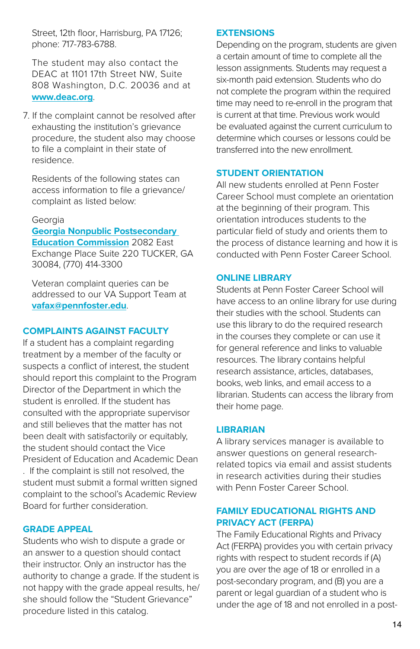Street, 12th floor, Harrisburg, PA 17126; phone: 717-783-6788.

The student may also contact the DEAC at 1101 17th Street NW, Suite 808 Washington, D.C. 20036 and at **[www.deac.org](http://www.deac.org)**.

7. If the complaint cannot be resolved after exhausting the institution's grievance procedure, the student also may choose to file a complaint in their state of residence.

Residents of the following states can access information to file a grievance/ complaint as listed below:

#### Georgia

#### **[Georgia Nonpublic Postsecondary](https://gnpec.georgia.gov/student-resources)  [Education Commission](https://gnpec.georgia.gov/student-resources)** 2082 East Exchange Place Suite 220 TUCKER, GA 30084, (770) 414-3300

Veteran complaint queries can be addressed to our VA Support Team at **[vafax@pennfoster.edu](mailto:Mailto:vafax%40pennfoster.edu?subject=)**.

#### **COMPLAINTS AGAINST FACULTY**

If a student has a complaint regarding treatment by a member of the faculty or suspects a conflict of interest, the student should report this complaint to the Program Director of the Department in which the student is enrolled. If the student has consulted with the appropriate supervisor and still believes that the matter has not been dealt with satisfactorily or equitably, the student should contact the Vice President of Education and Academic Dean

. If the complaint is still not resolved, the student must submit a formal written signed complaint to the school's Academic Review Board for further consideration.

#### **GRADE APPEAL**

Students who wish to dispute a grade or an answer to a question should contact their instructor. Only an instructor has the authority to change a grade. If the student is not happy with the grade appeal results, he/ she should follow the "Student Grievance" procedure listed in this catalog.

#### **EXTENSIONS**

Depending on the program, students are given a certain amount of time to complete all the lesson assignments. Students may request a six-month paid extension. Students who do not complete the program within the required time may need to re-enroll in the program that is current at that time. Previous work would be evaluated against the current curriculum to determine which courses or lessons could be transferred into the new enrollment.

#### **STUDENT ORIENTATION**

All new students enrolled at Penn Foster Career School must complete an orientation at the beginning of their program. This orientation introduces students to the particular field of study and orients them to the process of distance learning and how it is conducted with Penn Foster Career School.

#### **ONLINE LIBRARY**

Students at Penn Foster Career School will have access to an online library for use during their studies with the school. Students can use this library to do the required research in the courses they complete or can use it for general reference and links to valuable resources. The library contains helpful research assistance, articles, databases, books, web links, and email access to a librarian. Students can access the library from their home page.

#### **LIBRARIAN**

A library services manager is available to answer questions on general researchrelated topics via email and assist students in research activities during their studies with Penn Foster Career School.

#### **FAMILY EDUCATIONAL RIGHTS AND PRIVACY ACT (FERPA)**

The Family Educational Rights and Privacy Act (FERPA) provides you with certain privacy rights with respect to student records if (A) you are over the age of 18 or enrolled in a post-secondary program, and (B) you are a parent or legal guardian of a student who is under the age of 18 and not enrolled in a post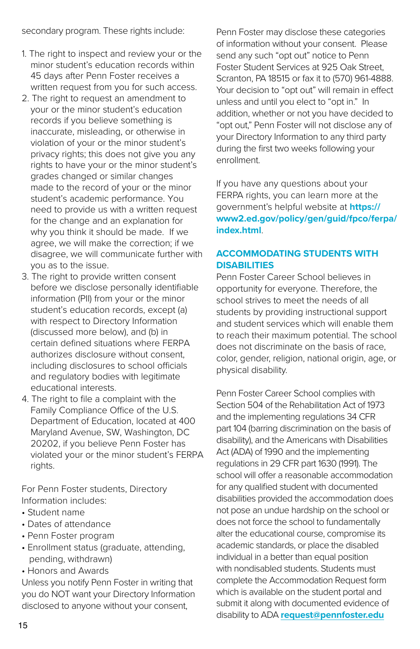secondary program. These rights include:

- 1. The right to inspect and review your or the minor student's education records within 45 days after Penn Foster receives a written request from you for such access.
- 2. The right to request an amendment to your or the minor student's education records if you believe something is inaccurate, misleading, or otherwise in violation of your or the minor student's privacy rights; this does not give you any rights to have your or the minor student's grades changed or similar changes made to the record of your or the minor student's academic performance. You need to provide us with a written request for the change and an explanation for why you think it should be made. If we agree, we will make the correction; if we disagree, we will communicate further with you as to the issue.
- 3. The right to provide written consent before we disclose personally identifiable information (PII) from your or the minor student's education records, except (a) with respect to Directory Information (discussed more below), and (b) in certain defined situations where FERPA authorizes disclosure without consent, including disclosures to school officials and regulatory bodies with legitimate educational interests.
- 4. The right to file a complaint with the Family Compliance Office of the U.S. Department of Education, located at 400 Maryland Avenue, SW, Washington, DC 20202, if you believe Penn Foster has violated your or the minor student's FERPA rights.

For Penn Foster students, Directory Information includes:

- Student name
- Dates of attendance
- Penn Foster program
- Enrollment status (graduate, attending, pending, withdrawn)
- Honors and Awards

Unless you notify Penn Foster in writing that you do NOT want your Directory Information disclosed to anyone without your consent,

Penn Foster may disclose these categories of information without your consent. Please send any such "opt out" notice to Penn Foster Student Services at 925 Oak Street, Scranton, PA 18515 or fax it to (570) 961-4888. Your decision to "opt out" will remain in effect unless and until you elect to "opt in." In addition, whether or not you have decided to "opt out," Penn Foster will not disclose any of your Directory Information to any third party during the first two weeks following your enrollment.

If you have any questions about your FERPA rights, you can learn more at the government's helpful website at **https:// www2.ed.gov/policy/gen/guid/fpco/ferpa/ index.html**.

#### **ACCOMMODATING STUDENTS WITH DISABILITIES**

Penn Foster Career School believes in opportunity for everyone. Therefore, the school strives to meet the needs of all students by providing instructional support and student services which will enable them to reach their maximum potential. The school does not discriminate on the basis of race, color, gender, religion, national origin, age, or physical disability.

Penn Foster Career School complies with Section 504 of the Rehabilitation Act of 1973 and the implementing regulations 34 CFR part 104 (barring discrimination on the basis of disability), and the Americans with Disabilities Act (ADA) of 1990 and the implementing regulations in 29 CFR part 1630 (1991). The school will offer a reasonable accommodation for any qualified student with documented disabilities provided the accommodation does not pose an undue hardship on the school or does not force the school to fundamentally alter the educational course, compromise its academic standards, or place the disabled individual in a better than equal position with nondisabled students. Students must complete the Accommodation Request form which is available on the student portal and submit it along with documented evidence of disability to ADA **[request@pennfoster.edu](mailto:Mailto:request%40pennfoster.edu?subject=)**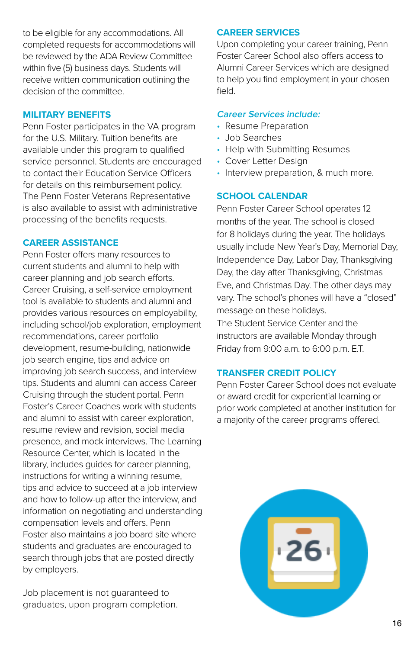to be eligible for any accommodations. All completed requests for accommodations will be reviewed by the ADA Review Committee within five (5) business days. Students will receive written communication outlining the decision of the committee.

#### **MILITARY BENEFITS**

Penn Foster participates in the VA program for the U.S. Military. Tuition benefits are available under this program to qualified service personnel. Students are encouraged to contact their Education Service Officers for details on this reimbursement policy. The Penn Foster Veterans Representative is also available to assist with administrative processing of the benefits requests.

#### **CAREER ASSISTANCE**

Penn Foster offers many resources to current students and alumni to help with career planning and job search efforts. Career Cruising, a self-service employment tool is available to students and alumni and provides various resources on employability, including school/job exploration, employment recommendations, career portfolio development, resume-building, nationwide job search engine, tips and advice on improving job search success, and interview tips. Students and alumni can access Career Cruising through the student portal. Penn Foster's Career Coaches work with students and alumni to assist with career exploration, resume review and revision, social media presence, and mock interviews. The Learning Resource Center, which is located in the library, includes quides for career planning. instructions for writing a winning resume, tips and advice to succeed at a job interview and how to follow-up after the interview, and information on negotiating and understanding compensation levels and offers. Penn Foster also maintains a job board site where students and graduates are encouraged to search through jobs that are posted directly by employers.

Job placement is not guaranteed to graduates, upon program completion.

#### **CAREER SERVICES**

Upon completing your career training, Penn Foster Career School also offers access to Alumni Career Services which are designed to help you find employment in your chosen field.

#### **Career Services include:**

- Resume Preparation
- Job Searches
- Help with Submitting Resumes
- Cover Letter Design
- Interview preparation, & much more.

#### **SCHOOL CALENDAR**

Penn Foster Career School operates 12 months of the year. The school is closed for 8 holidays during the year. The holidays usually include New Year's Day, Memorial Day, Independence Day, Labor Day, Thanksgiving Day, the day after Thanksgiving, Christmas Eve, and Christmas Day. The other days may vary. The school's phones will have a "closed" message on these holidays.

The Student Service Center and the instructors are available Monday through Friday from 9:00 a.m. to 6:00 p.m. E.T.

#### **TRANSFER CREDIT POLICY**

Penn Foster Career School does not evaluate or award credit for experiential learning or prior work completed at another institution for a majority of the career programs offered.

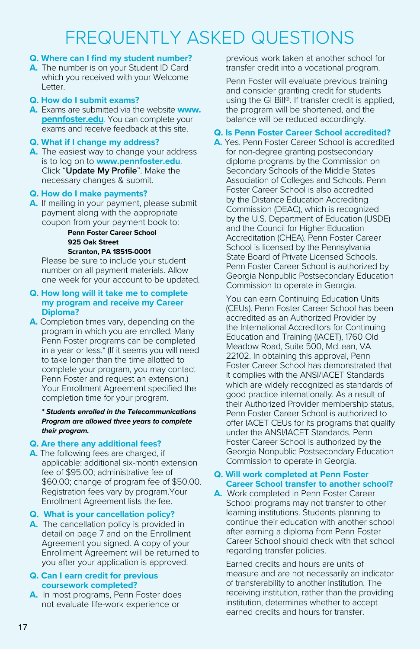## FREQUENTLY ASKED QUESTIONS

#### **Q. Where can I find my student number?**

**A.** The number is on your Student ID Card which you received with your Welcome Letter.

#### **Q. How do I submit exams?**

**A.** Exams are submitted via the website **[www.](http://www.pennfoster.edu) [pennfoster.edu](http://www.pennfoster.edu)**. You can complete your exams and receive feedback at this site.

#### **Q. What if I change my address?**

**A.** The easiest way to change your address is to log on to **www.pennfoster.edu**. Click "**Update My Profile**". Make the necessary changes & submit.

#### **Q. How do I make payments?**

**A.** If mailing in your payment, please submit payment along with the appropriate coupon from your payment book to:

#### **Penn Foster Career School 925 Oak Street Scranton, PA 18515-0001**

Please be sure to include your student number on all payment materials. Allow one week for your account to be updated.

#### **Q. How long will it take me to complete my program and receive my Career Diploma?**

**A.** Completion times vary, depending on the program in which you are enrolled. Many Penn Foster programs can be completed in a year or less.\* (If it seems you will need to take longer than the time allotted to complete your program, you may contact Penn Foster and request an extension.) Your Enrollment Agreement specified the completion time for your program.

#### *\* Students enrolled in the Telecommunications Program are allowed three years to complete their program.*

#### **Q. Are there any additional fees?**

**A.** The following fees are charged, if applicable: additional six-month extension fee of \$95.00; administrative fee of \$60.00; change of program fee of \$50.00. Registration fees vary by program.Your Enrollment Agreement lists the fee.

#### **Q. What is your cancellation policy?**

**A.** The cancellation policy is provided in detail on page 7 and on the Enrollment Agreement you signed. A copy of your Enrollment Agreement will be returned to you after your application is approved.

#### **Q. Can I earn credit for previous coursework completed?**

**A.** In most programs, Penn Foster does not evaluate life-work experience or

previous work taken at another school for transfer credit into a vocational program.

Penn Foster will evaluate previous training and consider granting credit for students using the GI Bill®. If transfer credit is applied, the program will be shortened, and the balance will be reduced accordingly.

#### **Q. Is Penn Foster Career School accredited?**

**A.** Yes. Penn Foster Career School is accredited for non-degree granting postsecondary diploma programs by the Commission on Secondary Schools of the Middle States Association of Colleges and Schools. Penn Foster Career School is also accredited by the Distance Education Accrediting Commission (DEAC), which is recognized by the U.S. Department of Education (USDE) and the Council for Higher Education Accreditation (CHEA). Penn Foster Career School is licensed by the Pennsylvania State Board of Private Licensed Schools. Penn Foster Career School is authorized by Georgia Nonpublic Postsecondary Education Commission to operate in Georgia.

You can earn Continuing Education Units (CEUs). Penn Foster Career School has been accredited as an Authorized Provider by the International Accreditors for Continuing Education and Training (IACET), 1760 Old Meadow Road, Suite 500, McLean, VA 22102. In obtaining this approval, Penn Foster Career School has demonstrated that it complies with the ANSI/IACET Standards which are widely recognized as standards of good practice internationally. As a result of their Authorized Provider membership status, Penn Foster Career School is authorized to offer IACET CEUs for its programs that qualify under the ANSI/IACET Standards. Penn Foster Career School is authorized by the Georgia Nonpublic Postsecondary Education Commission to operate in Georgia.

#### **Q. Will work completed at Penn Foster Career School transfer to another school?**

**A.** Work completed in Penn Foster Career School programs may not transfer to other learning institutions. Students planning to continue their education with another school after earning a diploma from Penn Foster Career School should check with that school regarding transfer policies.

Earned credits and hours are units of measure and are not necessarily an indicator of transferability to another institution. The receiving institution, rather than the providing institution, determines whether to accept earned credits and hours for transfer.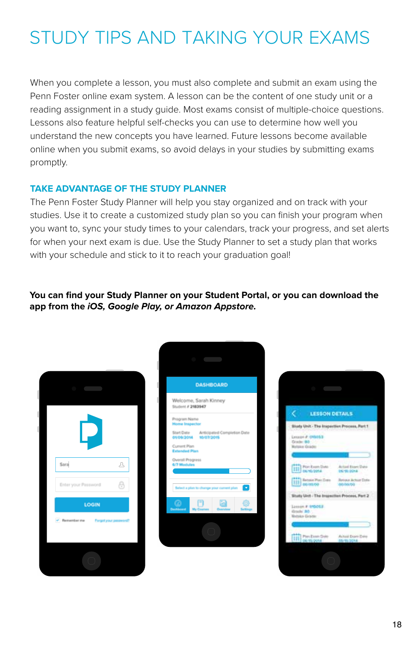# STUDY TIPS AND TAKING YOUR EXAMS

When you complete a lesson, you must also complete and submit an exam using the Penn Foster online exam system. A lesson can be the content of one study unit or a reading assignment in a study guide. Most exams consist of multiple-choice questions. Lessons also feature helpful self-checks you can use to determine how well you understand the new concepts you have learned. Future lessons become available online when you submit exams, so avoid delays in your studies by submitting exams promptly.

#### **TAKE ADVANTAGE OF THE STUDY PLANNER**

The Penn Foster Study Planner will help you stay organized and on track with your studies. Use it to create a customized study plan so you can finish your program when you want to, sync your study times to your calendars, track your progress, and set alerts for when your next exam is due. Use the Study Planner to set a study plan that works with your schedule and stick to it to reach your graduation goal!

**You can find your Study Planner on your Student Portal, or you can download the app from the** *iOS, Google Play, or Amazon Appstore.*



| <b>DASHBOARD</b>                                                     |  |  |  |  |  |  |
|----------------------------------------------------------------------|--|--|--|--|--|--|
| Welcome, Sarah Kinney<br>Student # 2183947                           |  |  |  |  |  |  |
| Program Name<br><b>Home Inspector</b>                                |  |  |  |  |  |  |
| Start Date Anticipated Completion Date<br>2102/01/08 2010/2015       |  |  |  |  |  |  |
| Current Plan<br><b>Extended Plan</b>                                 |  |  |  |  |  |  |
| Overall Progress<br>6/7 Modules                                      |  |  |  |  |  |  |
|                                                                      |  |  |  |  |  |  |
| $\overline{\mathbf{v}}$<br>Select a plan to change your current plan |  |  |  |  |  |  |
| ÷<br>Denhibmand                                                      |  |  |  |  |  |  |
|                                                                      |  |  |  |  |  |  |
|                                                                      |  |  |  |  |  |  |

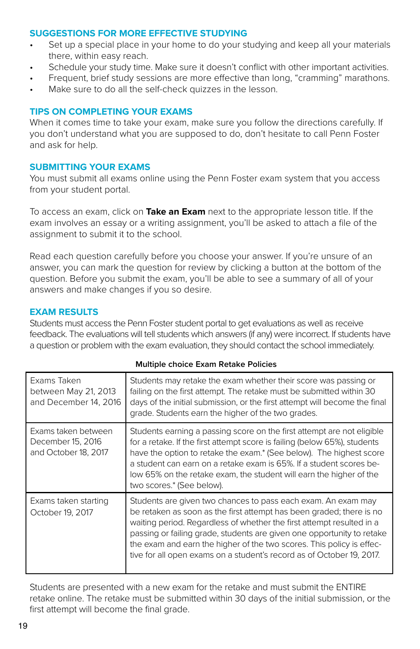#### **SUGGESTIONS FOR MORE EFFECTIVE STUDYING**

- Set up a special place in your home to do your studying and keep all your materials there, within easy reach.
- Schedule your study time. Make sure it doesn't conflict with other important activities.
- Frequent, brief study sessions are more effective than long, "cramming" marathons.
- Make sure to do all the self-check quizzes in the lesson.

#### **TIPS ON COMPLETING YOUR EXAMS**

When it comes time to take your exam, make sure you follow the directions carefully. If you don't understand what you are supposed to do, don't hesitate to call Penn Foster and ask for help.

#### **SUBMITTING YOUR EXAMS**

You must submit all exams online using the Penn Foster exam system that you access from your student portal.

To access an exam, click on **Take an Exam** next to the appropriate lesson title. If the exam involves an essay or a writing assignment, you'll be asked to attach a file of the assignment to submit it to the school.

Read each question carefully before you choose your answer. If you're unsure of an answer, you can mark the question for review by clicking a button at the bottom of the question. Before you submit the exam, you'll be able to see a summary of all of your answers and make changes if you so desire.

#### **EXAM RESULTS**

Students must access the Penn Foster student portal to get evaluations as well as receive feedback. The evaluations will tell students which answers (if any) were incorrect. If students have a question or problem with the exam evaluation, they should contact the school immediately.

| Exams Taken<br>between May 21, 2013<br>and December 14, 2016     | Students may retake the exam whether their score was passing or<br>failing on the first attempt. The retake must be submitted within 30<br>days of the initial submission, or the first attempt will become the final<br>grade. Students earn the higher of the two grades.                                                                                                                                                                |  |  |  |  |  |  |
|------------------------------------------------------------------|--------------------------------------------------------------------------------------------------------------------------------------------------------------------------------------------------------------------------------------------------------------------------------------------------------------------------------------------------------------------------------------------------------------------------------------------|--|--|--|--|--|--|
| Exams taken between<br>December 15, 2016<br>and October 18, 2017 | Students earning a passing score on the first attempt are not eligible<br>for a retake. If the first attempt score is failing (below 65%), students<br>have the option to retake the exam.* (See below). The highest score<br>a student can earn on a retake exam is 65%. If a student scores be-<br>low 65% on the retake exam, the student will earn the higher of the<br>two scores.* (See below).                                      |  |  |  |  |  |  |
| Exams taken starting<br>October 19, 2017                         | Students are given two chances to pass each exam. An exam may<br>be retaken as soon as the first attempt has been graded; there is no<br>waiting period. Regardless of whether the first attempt resulted in a<br>passing or failing grade, students are given one opportunity to retake<br>the exam and earn the higher of the two scores. This policy is effec-<br>tive for all open exams on a student's record as of October 19, 2017. |  |  |  |  |  |  |

#### **Multiple choice Exam Retake Policies**

Students are presented with a new exam for the retake and must submit the ENTIRE retake online. The retake must be submitted within 30 days of the initial submission, or the first attempt will become the final grade.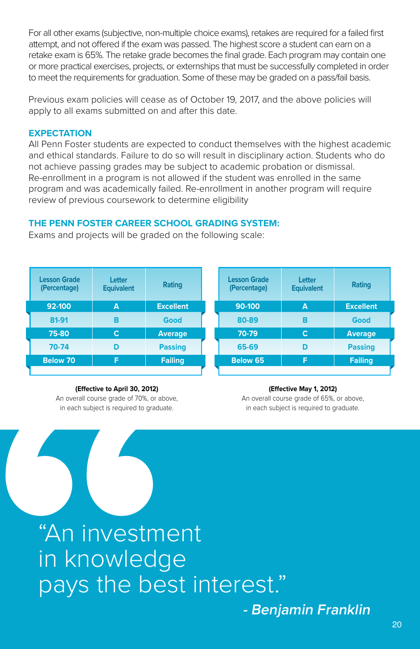For all other exams (subjective, non-multiple choice exams), retakes are required for a failed first attempt, and not offered if the exam was passed. The highest score a student can earn on a retake exam is 65%. The retake grade becomes the final grade. Each program may contain one or more practical exercises, projects, or externships that must be successfully completed in order to meet the requirements for graduation. Some of these may be graded on a pass/fail basis.

Previous exam policies will cease as of October 19, 2017, and the above policies will apply to all exams submitted on and after this date.

#### **EXPECTATION**

All Penn Foster students are expected to conduct themselves with the highest academic and ethical standards. Failure to do so will result in disciplinary action. Students who do not achieve passing grades may be subject to academic probation or dismissal. Re-enrollment in a program is not allowed if the student was enrolled in the same program and was academically failed. Re-enrollment in another program will require review of previous coursework to determine eligibility

#### **THE PENN FOSTER CAREER SCHOOL GRADING SYSTEM:**

Exams and projects will be graded on the following scale:

| <b>Lesson Grade</b><br>(Percentage) | Letter<br><b>Equivalent</b> | Rating           | <b>Lesson Grade</b><br>(Percentage) | Letter<br><b>Equivalent</b> | Rating           |
|-------------------------------------|-----------------------------|------------------|-------------------------------------|-----------------------------|------------------|
| 92-100                              | A                           | <b>Excellent</b> | 90-100                              | A                           | <b>Excellent</b> |
| 81-91                               | в                           | Good             | 80-89                               | в                           | Good             |
| 75-80                               | c                           | <b>Average</b>   | 70-79                               | C                           | Average          |
| 70-74                               | D                           | <b>Passing</b>   | 65-69                               | D                           | <b>Passing</b>   |
| Below 70                            | F                           | <b>Failing</b>   | Below 65                            | F                           | <b>Failing</b>   |
|                                     |                             |                  |                                     |                             |                  |

#### **(Effective to April 30, 2012)**

An overall course grade of 70%, or above, in each subject is required to graduate.

#### **(Effective May 1, 2012)**

An overall course grade of 65%, or above, in each subject is required to graduate.

**- Benjamin Franklin**

Effective to April 30, 2012)<br>An overall course grade of 70%, or above<br>in each subject is required to graduate<br><sup>"</sup>An investme"<br>In knowledg<br>pays the bes "An investment in knowledge pays the best interest."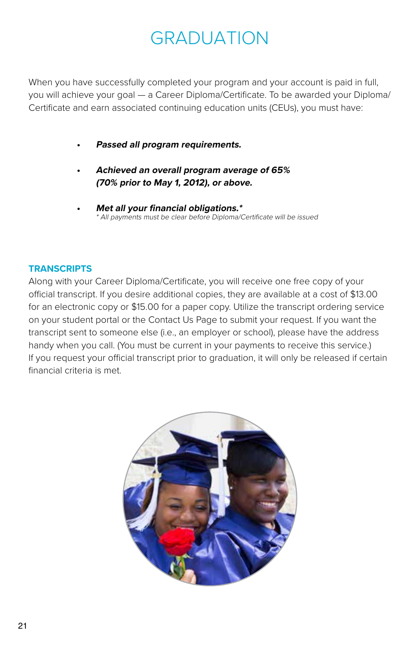# GRADUATION

When you have successfully completed your program and your account is paid in full, you will achieve your goal — a Career Diploma/Certificate. To be awarded your Diploma/ Certificate and earn associated continuing education units (CEUs), you must have:

- **• Passed all program requirements.**
- **• Achieved an overall program average of 65% (70% prior to May 1, 2012), or above.**
- **• Met all your financial obligations.\*** \* All payments must be clear before Diploma/Certificate will be issued

#### **TRANSCRIPTS**

Along with your Career Diploma/Certificate, you will receive one free copy of your official transcript. If you desire additional copies, they are available at a cost of \$13.00 for an electronic copy or \$15.00 for a paper copy. Utilize the transcript ordering service on your student portal or the Contact Us Page to submit your request. If you want the transcript sent to someone else (i.e., an employer or school), please have the address handy when you call. (You must be current in your payments to receive this service.) If you request your official transcript prior to graduation, it will only be released if certain financial criteria is met.

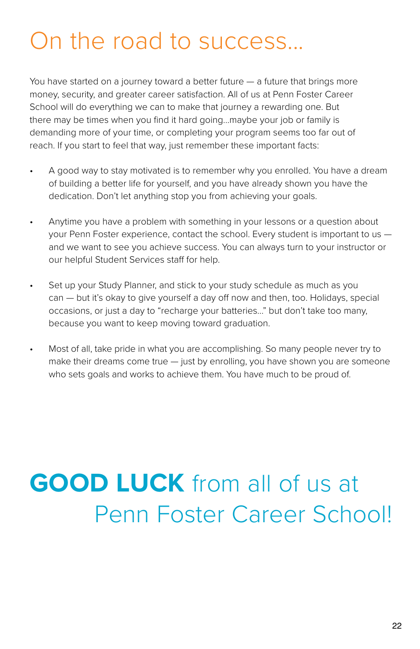# On the road to success...

You have started on a journey toward a better future  $-$  a future that brings more money, security, and greater career satisfaction. All of us at Penn Foster Career School will do everything we can to make that journey a rewarding one. But there may be times when you find it hard going...maybe your job or family is demanding more of your time, or completing your program seems too far out of reach. If you start to feel that way, just remember these important facts:

- A good way to stay motivated is to remember why you enrolled. You have a dream of building a better life for yourself, and you have already shown you have the dedication. Don't let anything stop you from achieving your goals.
- Anytime you have a problem with something in your lessons or a question about your Penn Foster experience, contact the school. Every student is important to us and we want to see you achieve success. You can always turn to your instructor or our helpful Student Services staff for help.
- Set up your Study Planner, and stick to your study schedule as much as you can — but it's okay to give yourself a day off now and then, too. Holidays, special occasions, or just a day to "recharge your batteries..." but don't take too many, because you want to keep moving toward graduation.
- Most of all, take pride in what you are accomplishing. So many people never try to make their dreams come true — just by enrolling, you have shown you are someone who sets goals and works to achieve them. You have much to be proud of.

# **GOOD LUCK** from all of us at Penn Foster Career School!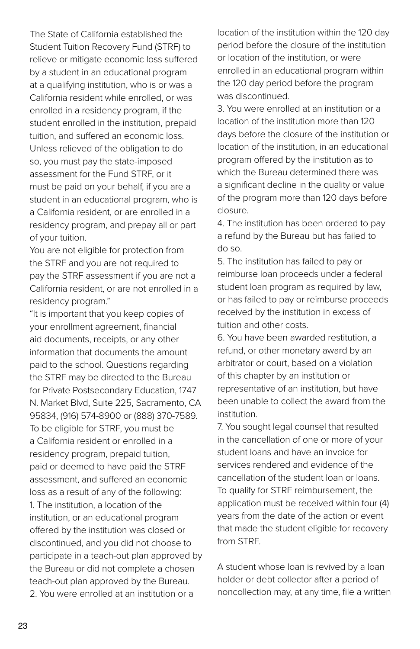The State of California established the Student Tuition Recovery Fund (STRF) to relieve or mitigate economic loss suffered by a student in an educational program at a qualifying institution, who is or was a California resident while enrolled, or was enrolled in a residency program, if the student enrolled in the institution, prepaid tuition, and suffered an economic loss. Unless relieved of the obligation to do so, you must pay the state-imposed assessment for the Fund STRF, or it must be paid on your behalf, if you are a student in an educational program, who is a California resident, or are enrolled in a residency program, and prepay all or part of your tuition.

You are not eligible for protection from the STRF and you are not required to pay the STRF assessment if you are not a California resident, or are not enrolled in a residency program."

"It is important that you keep copies of your enrollment agreement, financial aid documents, receipts, or any other information that documents the amount paid to the school. Questions regarding the STRF may be directed to the Bureau for Private Postsecondary Education, 1747 N. Market Blvd, Suite 225, Sacramento, CA 95834, (916) 574-8900 or (888) 370-7589. To be eligible for STRF, you must be a California resident or enrolled in a residency program, prepaid tuition, paid or deemed to have paid the STRF assessment, and suffered an economic loss as a result of any of the following: 1. The institution, a location of the institution, or an educational program offered by the institution was closed or discontinued, and you did not choose to participate in a teach-out plan approved by the Bureau or did not complete a chosen teach-out plan approved by the Bureau. 2. You were enrolled at an institution or a

location of the institution within the 120 day period before the closure of the institution or location of the institution, or were enrolled in an educational program within the 120 day period before the program was discontinued.

3. You were enrolled at an institution or a location of the institution more than 120 days before the closure of the institution or location of the institution, in an educational program offered by the institution as to which the Bureau determined there was a significant decline in the quality or value of the program more than 120 days before closure.

4. The institution has been ordered to pay a refund by the Bureau but has failed to do so.

5. The institution has failed to pay or reimburse loan proceeds under a federal student loan program as required by law, or has failed to pay or reimburse proceeds received by the institution in excess of tuition and other costs.

6. You have been awarded restitution, a refund, or other monetary award by an arbitrator or court, based on a violation of this chapter by an institution or representative of an institution, but have been unable to collect the award from the institution.

7. You sought legal counsel that resulted in the cancellation of one or more of your student loans and have an invoice for services rendered and evidence of the cancellation of the student loan or loans. To qualify for STRF reimbursement, the application must be received within four (4) years from the date of the action or event that made the student eligible for recovery from STRF.

A student whose loan is revived by a loan holder or debt collector after a period of noncollection may, at any time, file a written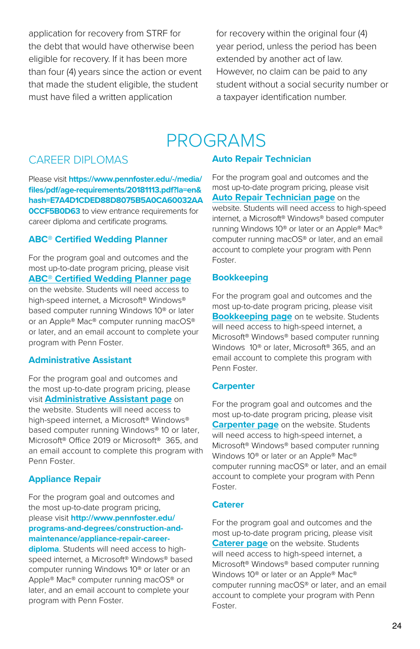application for recovery from STRF for the debt that would have otherwise been eligible for recovery. If it has been more than four (4) years since the action or event that made the student eligible, the student must have filed a written application

for recovery within the original four (4) year period, unless the period has been extended by another act of law. However, no claim can be paid to any student without a social security number or a taxpayer identification number.

### PROGRAMS

#### CAREER DIPLOMAS

Please visit **https://www.pennfoster.edu/-/media/ files/pdf/age-requirements/20181113.pdf?la=en& hash=E7A4D1CDED88D8075B5A0CA60032AA 0CCF5B0D63** to view entrance requirements for career diploma and certificate programs.

#### **ABC® Certified Wedding Planner**

For the program goal and outcomes and the most up-to-date program pricing, please visit **[ABC® Certified Wedding Planner](https://www.pennfoster.edu/programs/creative/certified-wedding-planner-career-diploma) page** on the website. Students will need access to high-speed internet, a Microsoft® Windows® based computer running Windows 10® or later or an Apple® Mac® computer running macOS® or later, and an email account to complete your program with Penn Foster.

#### **Administrative Assistant**

For the program goal and outcomes and the most up-to-date program pricing, please visit **[Administrative Assistant](https://www.pennfoster.edu/programs/business/administrative-assistant-career-diploma) page** on the website. Students will need access to high-speed internet, a Microsoft® Windows® based computer running Windows® 10 or later, Microsoft® Office 2019 or Microsoft® 365, and an email account to complete this program with Penn Foster.

#### **Appliance Repair**

For the program goal and outcomes and the most up-to-date program pricing, please visit **http://www.pennfoster.edu/ programs-and-degrees/construction-andmaintenance/appliance-repair-careerdiploma**. Students will need access to highspeed internet, a Microsoft® Windows® based computer running Windows 10® or later or an Apple® Mac® computer running macOS® or later, and an email account to complete your program with Penn Foster.

#### **Auto Repair Technician**

For the program goal and outcomes and the most up-to-date program pricing, please visit **[Auto Repair Technician](https://www.pennfoster.edu/programs/automotive/auto-repair-career-diploma) page** on the website. Students will need access to high-speed internet, a Microsoft® Windows® based computer running Windows 10® or later or an Apple® Mac® computer running macOS® or later, and an email account to complete your program with Penn Foster.

#### **Bookkeeping**

For the program goal and outcomes and the most up-to-date program pricing, please visit **[Bookkeeping page](https://www.pennfoster.edu/programs/business/bookkeeping-career-diploma)** on te website. Students will need access to high-speed internet, a Microsoft® Windows® based computer running Windows 10® or later, Microsoft® 365, and an email account to complete this program with Penn Foster.

#### **Carpenter**

For the program goal and outcomes and the most up-to-date program pricing, please visit **[Carpenter page](https://www.pennfoster.edu/programs/trades/construction-trades-career-diploma)** on the website. Students will need access to high-speed internet, a Microsoft® Windows® based computer running Windows 10® or later or an Apple® Mac® computer running macOS® or later, and an email account to complete your program with Penn Foster.

#### **Caterer**

For the program goal and outcomes and the most up-to-date program pricing, please visit **[Caterer page](https://www.pennfoster.edu/programs/travel/caterer-career-diploma)** on the website. Students will need access to high-speed internet, a Microsoft® Windows® based computer running Windows 10® or later or an Apple® Mac® computer running macOS® or later, and an email account to complete your program with Penn Foster.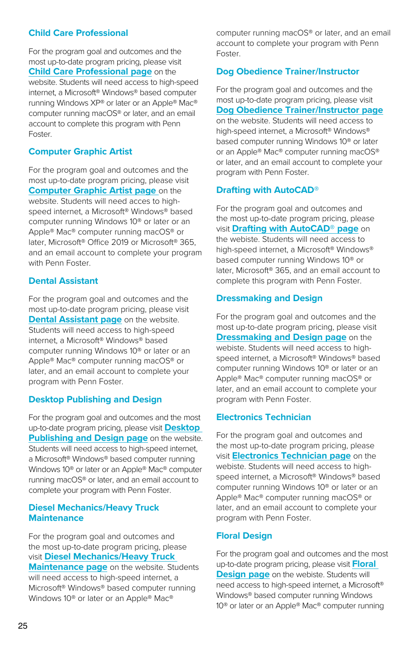#### **Child Care Professional**

For the program goal and outcomes and the most up-to-date program pricing, please visit **[Child Care Professional page](https://www.pennfoster.edu/programs/education/child-care-professional-career-diploma/tuition#/)** on the website. Students will need access to high-speed internet, a Microsoft® Windows® based computer running Windows XP® or later or an Apple® Mac® computer running macOS® or later, and an email account to complete this program with Penn Foster.

#### **Computer Graphic Artist**

For the program goal and outcomes and the most up-to-date program pricing, please visit **[Computer Graphic Artist page](https://www.pennfoster.edu/programs/creative/computer-graphic-artist-career-diploma)** on the website. Students will need acces to highspeed internet, a Microsoft® Windows® based computer running Windows 10® or later or an Apple® Mac® computer running macOS® or later, Microsoft® Office 2019 or Microsoft® 365, and an email account to complete your program with Penn Foster.

#### **Dental Assistant**

For the program goal and outcomes and the most up-to-date program pricing, please visit **[Dental Assistant page](https://www.pennfoster.edu/programs/healthcare/dental-assistant-career-diploma)** on the website. Students will need access to high-speed internet, a Microsoft® Windows® based computer running Windows 10® or later or an Apple® Mac® computer running macOS® or later, and an email account to complete your program with Penn Foster.

#### **Desktop Publishing and Design**

For the program goal and outcomes and the most up-to-date program pricing, please visit **[Desktop](https://www.pennfoster.edu/programs/creative/desktop-publishing-and-design-career-diploma)  [Publishing and Design page](https://www.pennfoster.edu/programs/creative/desktop-publishing-and-design-career-diploma)** on the website. Students will need access to high-speed internet, a Microsoft® Windows® based computer running Windows 10® or later or an Apple® Mac® computer running macOS® or later, and an email account to complete your program with Penn Foster.

#### **Diesel Mechanics/Heavy Truck Maintenance**

For the program goal and outcomes and the most up-to-date program pricing, please visit **[Diesel Mechanics/Heavy Truck](https://www.pennfoster.edu/programs/automotive/diesel-mechanics-career-diploma)  [Maintenance page](https://www.pennfoster.edu/programs/automotive/diesel-mechanics-career-diploma)** on the website. Students will need access to high-speed internet, a Microsoft® Windows® based computer running Windows 10® or later or an Apple® Mac®

computer running macOS® or later, and an email account to complete your program with Penn Foster.

#### **Dog Obedience Trainer/Instructor**

For the program goal and outcomes and the most up-to-date program pricing, please visit **[Dog Obedience Trainer/Instructor page](http://Dog Obedience Trainer/Instructor page)** on the website. Students will need access to high-speed internet, a Microsoft® Windows® based computer running Windows 10® or later or an Apple® Mac® computer running macOS® or later, and an email account to complete your program with Penn Foster.

#### **Drafting with AutoCAD®**

For the program goal and outcomes and the most up-to-date program pricing, please visit **[Drafting with AutoCAD® page](https://www.pennfoster.edu/programs/trades/drafting-with-autocad-career-diploma)** on the webiste. Students will need access to high-speed internet, a Microsoft® Windows® based computer running Windows 10® or later, Microsoft® 365, and an email account to complete this program with Penn Foster.

#### **Dressmaking and Design**

For the program goal and outcomes and the most up-to-date program pricing, please visit **[Dressmaking and Design page](https://www.pennfoster.edu/programs/creative/dressmaking-career-diploma)** on the webiste. Students will need access to highspeed internet, a Microsoft® Windows® based computer running Windows 10® or later or an Apple® Mac® computer running macOS® or later, and an email account to complete your program with Penn Foster.

#### **Electronics Technician**

For the program goal and outcomes and the most up-to-date program pricing, please visit **[Electronics Technician page](https://www.pennfoster.edu/programs/computers/electronics-technician-career-diploma)** on the webiste. Students will need access to highspeed internet, a Microsoft® Windows® based computer running Windows 10® or later or an Apple® Mac® computer running macOS® or later, and an email account to complete your program with Penn Foster.

#### **Floral Design**

For the program goal and outcomes and the most up-to-date program pricing, please visit **[Floral](https://www.pennfoster.edu/programs/creative/floral-design-career-diploma)  [Design page](https://www.pennfoster.edu/programs/creative/floral-design-career-diploma)** on the webiste. Students will need access to high-speed internet, a Microsoft® Windows® based computer running Windows 10® or later or an Apple® Mac® computer running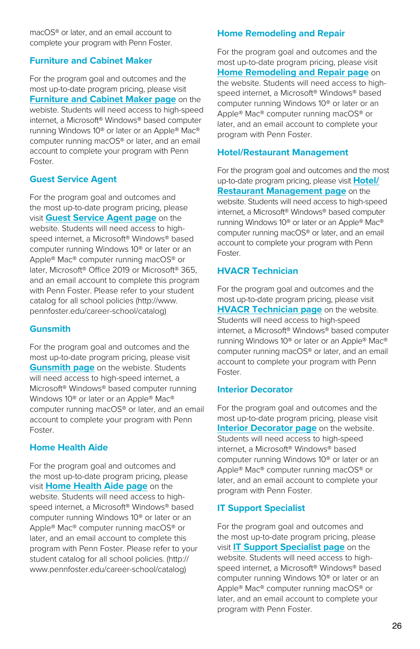macOS® or later, and an email account to complete your program with Penn Foster.

#### **Furniture and Cabinet Maker**

For the program goal and outcomes and the most up-to-date program pricing, please visit **[Furniture and Cabinet Maker page](https://www.pennfoster.edu/programs/creative/furniture-and-cabinet-maker-career-diploma)** on the webiste. Students will need access to high-speed internet, a Microsoft® Windows® based computer running Windows 10® or later or an Apple® Mac® computer running macOS® or later, and an email account to complete your program with Penn Foster.

#### **Guest Service Agent**

For the program goal and outcomes and the most up-to-date program pricing, please visit **[Guest Service Agent page](https://www.pennfoster.edu/programs/travel/guest-service-agent-career-diploma)** on the website. Students will need access to highspeed internet, a Microsoft® Windows® based computer running Windows 10® or later or an Apple® Mac® computer running macOS® or later, Microsoft® Office 2019 or Microsoft® 365, and an email account to complete this program with Penn Foster. Please refer to your student catalog for all school policies (http://www. pennfoster.edu/career-school/catalog)

#### **Gunsmith**

For the program goal and outcomes and the most up-to-date program pricing, please visit **[Gunsmith page](https://www.pennfoster.edu/programs/trades/gunsmith-career-diploma)** on the webiste. Students will need access to high-speed internet, a Microsoft® Windows® based computer running Windows 10® or later or an Apple® Mac® computer running macOS® or later, and an email account to complete your program with Penn Foster.

#### **Home Health Aide**

For the program goal and outcomes and the most up-to-date program pricing, please visit **[Home Health Aide page](https://www.pennfoster.edu/programs/healthcare/home-health-aide-career-diploma)** on the website. Students will need access to highspeed internet, a Microsoft® Windows® based computer running Windows 10® or later or an Apple® Mac® computer running macOS® or later, and an email account to complete this program with Penn Foster. Please refer to your student catalog for all school policies. (http:// www.pennfoster.edu/career-school/catalog)

#### **Home Remodeling and Repair**

For the program goal and outcomes and the most up-to-date program pricing, please visit **[Home Remodeling and Repair page](https://www.pennfoster.edu/programs/trades/home-remodeling-and-repair-career-diploma)** on the website. Students will need access to highspeed internet, a Microsoft® Windows® based computer running Windows 10® or later or an Apple® Mac® computer running macOS® or later, and an email account to complete your program with Penn Foster.

#### **Hotel/Restaurant Management**

For the program goal and outcomes and the most up-to-date program pricing, please visit **[Hotel/](https://www.pennfoster.edu/programs/travel/hotel-and-restaurant-management-career-diploma) [Restaurant Management page](https://www.pennfoster.edu/programs/travel/hotel-and-restaurant-management-career-diploma)** on the website. Students will need access to high-speed internet, a Microsoft® Windows® based computer running Windows 10® or later or an Apple® Mac® computer running macOS® or later, and an email account to complete your program with Penn Foster.

#### **HVACR Technician**

For the program goal and outcomes and the most up-to-date program pricing, please visit **[HVACR Technician page](https://www.pennfoster.edu/programs/trades/hvac-technician-career-diploma)** on the website. Students will need access to high-speed internet, a Microsoft® Windows® based computer running Windows 10® or later or an Apple® Mac® computer running macOS® or later, and an email account to complete your program with Penn Foster.

#### **Interior Decorator**

For the program goal and outcomes and the most up-to-date program pricing, please visit **[Interior Decorator page](https://www.pennfoster.edu/programs/creative/interior-decorator-career-diploma)** on the website. Students will need access to high-speed internet, a Microsoft® Windows® based computer running Windows 10® or later or an Apple® Mac® computer running macOS® or later, and an email account to complete your program with Penn Foster.

#### **IT Support Specialist**

For the program goal and outcomes and the most up-to-date program pricing, please visit **[IT Support Specialist page](https://www.pennfoster.edu/programs/computers/it-support-specialist-career-diploma)** on the website. Students will need access to highspeed internet, a Microsoft® Windows® based computer running Windows 10® or later or an Apple® Mac® computer running macOS® or later, and an email account to complete your program with Penn Foster.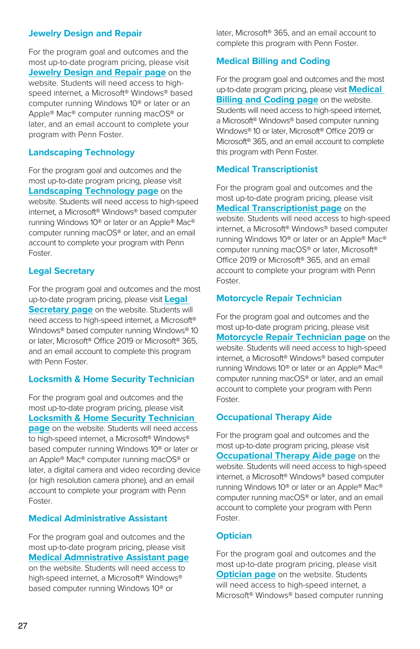#### **Jewelry Design and Repair**

For the program goal and outcomes and the most up-to-date program pricing, please visit **[Jewelry Design and Repair page](https://www.pennfoster.edu/programs/trades/jewelry-design-and-repair-career-diploma)** on the website. Students will need access to highspeed internet, a Microsoft® Windows® based computer running Windows 10® or later or an Apple® Mac® computer running macOS® or later, and an email account to complete your program with Penn Foster.

#### **Landscaping Technology**

For the program goal and outcomes and the most up-to-date program pricing, please visit **[Landscaping Technology page](https://www.pennfoster.edu/programs/trades/landscaping-technology-career-diploma)** on the website. Students will need access to high-speed internet, a Microsoft® Windows® based computer running Windows 10® or later or an Apple® Mac® computer running macOS® or later, and an email account to complete your program with Penn Foster.

#### **Legal Secretary**

For the program goal and outcomes and the most up-to-date program pricing, please visit **[Legal](https://www.pennfoster.edu/programs/legal/legal-secretary-career-diploma)  [Secretary page](https://www.pennfoster.edu/programs/legal/legal-secretary-career-diploma)** on the website. Students will need access to high-speed internet, a Microsoft® Windows® based computer running Windows® 10 or later, Microsoft® Office 2019 or Microsoft® 365, and an email account to complete this program with Penn Foster.

#### **Locksmith & Home Security Technician**

For the program goal and outcomes and the most up-to-date program pricing, please visit **[Locksmith & Home Security Technician](https://www.pennfoster.edu/programs/trades/locksmith-career-diploma)  [page](https://www.pennfoster.edu/programs/trades/locksmith-career-diploma)** on the website. Students will need access to high-speed internet, a Microsoft® Windows® based computer running Windows 10® or later or an Apple® Mac® computer running macOS® or later, a digital camera and video recording device (or high resolution camera phone), and an email account to complete your program with Penn Foster.

#### **Medical Administrative Assistant**

For the program goal and outcomes and the most up-to-date program pricing, please visit **[Medical Admnistrative Assistant page](https://www.pennfoster.edu/programs/healthcare/medical-admin-assistant-career-diploma)** on the website. Students will need access to high-speed internet, a Microsoft® Windows® based computer running Windows 10® or

later, Microsoft® 365, and an email account to complete this program with Penn Foster.

#### **Medical Billing and Coding**

For the program goal and outcomes and the most up-to-date program pricing, please visit **[Medical](https://www.pennfoster.edu/programs/healthcare/medical-billing-and-coding-career-diploma)  [Billing and Coding page](https://www.pennfoster.edu/programs/healthcare/medical-billing-and-coding-career-diploma)** on the website. Students will need access to high-speed internet, a Microsoft® Windows® based computer running Windows® 10 or later, Microsoft® Office 2019 or Microsoft® 365, and an email account to complete this program with Penn Foster.

#### **Medical Transcriptionist**

For the program goal and outcomes and the most up-to-date program pricing, please visit **[Medical Transcriptionist page](https://www.pennfoster.edu/programs/healthcare/medical-transcriptionist-career-diploma)** on the website. Students will need access to high-speed internet, a Microsoft® Windows® based computer running Windows 10® or later or an Apple® Mac® computer running macOS® or later, Microsoft® Office 2019 or Microsoft® 365, and an email account to complete your program with Penn Foster.

#### **Motorcycle Repair Technician**

For the program goal and outcomes and the most up-to-date program pricing, please visit **[Motorcycle Repair Technician page](https://www.pennfoster.edu/programs/automotive/motorcycle-repair-career-diploma)** on the website. Students will need access to high-speed internet, a Microsoft® Windows® based computer running Windows 10® or later or an Apple® Mac® computer running macOS® or later, and an email account to complete your program with Penn Foster.

#### **Occupational Therapy Aide**

For the program goal and outcomes and the most up-to-date program pricing, please visit **[Occupational Therapy Aide page](https://www.pennfoster.edu/programs/healthcare/occupational-therapy-aide-career-diploma)** on the website. Students will need access to high-speed internet, a Microsoft® Windows® based computer running Windows 10® or later or an Apple® Mac® computer running macOS® or later, and an email account to complete your program with Penn Foster.

#### **Optician**

For the program goal and outcomes and the most up-to-date program pricing, please visit **[Optician page](https://www.pennfoster.edu/programs/healthcare/optician-career-diploma)** on the website. Students will need access to high-speed internet, a Microsoft® Windows® based computer running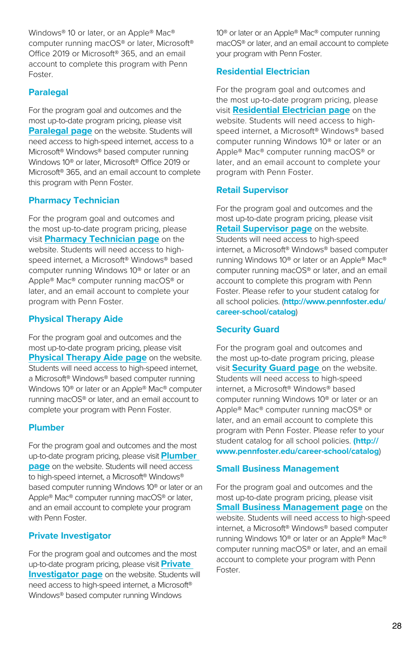Windows® 10 or later, or an Apple® Mac® computer running macOS® or later, Microsoft® Office 2019 or Microsoft® 365, and an email account to complete this program with Penn Foster.

#### **Paralegal**

For the program goal and outcomes and the most up-to-date program pricing, please visit **[Paralegal page](https://www.pennfoster.edu/programs/legal/paralegal-career-diploma)** on the website. Students will need access to high-speed internet, access to a Microsoft® Windows® based computer running Windows 10® or later, Microsoft® Office 2019 or Microsoft® 365, and an email account to complete this program with Penn Foster.

#### **Pharmacy Technician**

For the program goal and outcomes and the most up-to-date program pricing, please visit **[Pharmacy Technician page](https://www.pennfoster.edu/programs/healthcare/pharmacy-technician-career-diploma)** on the website. Students will need access to highspeed internet, a Microsoft® Windows® based computer running Windows 10® or later or an Apple® Mac® computer running macOS® or later, and an email account to complete your program with Penn Foster.

#### **Physical Therapy Aide**

For the program goal and outcomes and the most up-to-date program pricing, please visit **[Physical Therapy Aide page](https://www.pennfoster.edu/programs/healthcare/physical-therapy-aide-career-diploma)** on the website. Students will need access to high-speed internet, a Microsoft® Windows® based computer running Windows 10® or later or an Apple® Mac® computer running macOS® or later, and an email account to complete your program with Penn Foster.

#### **Plumber**

For the program goal and outcomes and the most up-to-date program pricing, please visit **[Plumber](https://www.pennfoster.edu/programs/trades/plumber-career-diploma)  [page](https://www.pennfoster.edu/programs/trades/plumber-career-diploma)** on the website. Students will need access to high-speed internet, a Microsoft® Windows® based computer running Windows 10® or later or an Apple® Mac® computer running macOS® or later, and an email account to complete your program with Penn Foster

#### **Private Investigator**

For the program goal and outcomes and the most up-to-date program pricing, please visit **[Private](https://www.pennfoster.edu/programs/legal/private-investigator-career-diploma)  [Investigator page](https://www.pennfoster.edu/programs/legal/private-investigator-career-diploma)** on the website. Students will need access to high-speed internet, a Microsoft® Windows® based computer running Windows

10® or later or an Apple® Mac® computer running macOS® or later, and an email account to complete your program with Penn Foster.

#### **Residential Electrician**

For the program goal and outcomes and the most up-to-date program pricing, please visit **[Residential Electrician page](https://www.pennfoster.edu/programs/trades/residential-electrician-career-diploma)** on the website. Students will need access to highspeed internet, a Microsoft® Windows® based computer running Windows 10® or later or an Apple® Mac® computer running macOS® or later, and an email account to complete your program with Penn Foster.

#### **Retail Supervisor**

For the program goal and outcomes and the most up-to-date program pricing, please visit **[Retail Supervisor page](https://www.pennfoster.edu/programs/business/retail-supervisor-career-diploma)** on the website. Students will need access to high-speed internet, a Microsoft® Windows® based computer running Windows 10® or later or an Apple® Mac® computer running macOS® or later, and an email account to complete this program with Penn Foster. Please refer to your student catalog for all school policies. (**http://www.pennfoster.edu/ career-school/catalog**)

#### **Security Guard**

For the program goal and outcomes and the most up-to-date program pricing, please visit **[Security Guard page](https://www.pennfoster.edu/programs/legal/security-guard-career-diploma)** on the website. Students will need access to high-speed internet, a Microsoft® Windows® based computer running Windows 10® or later or an Apple® Mac® computer running macOS® or later, and an email account to complete this program with Penn Foster. Please refer to your student catalog for all school policies. **(http:// www.pennfoster.edu/career-school/catalog**)

#### **Small Business Management**

For the program goal and outcomes and the most up-to-date program pricing, please visit **[Small Business Management page](https://www.pennfoster.edu/programs/business/small-business-management-career-diploma)** on the website. Students will need access to high-speed internet, a Microsoft® Windows® based computer running Windows 10® or later or an Apple® Mac® computer running macOS® or later, and an email account to complete your program with Penn Foster.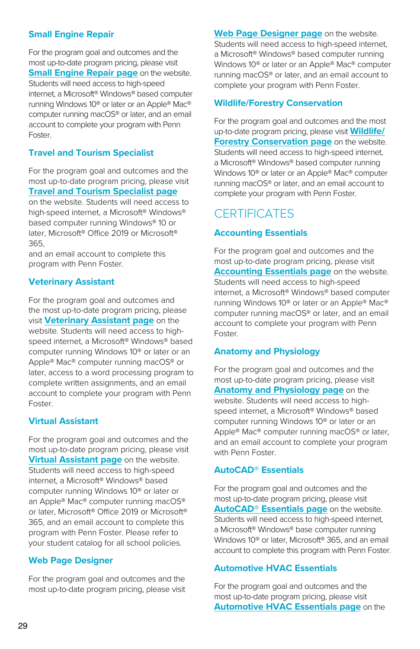#### **Small Engine Repair**

For the program goal and outcomes and the most up-to-date program pricing, please visit **[Small Engine Repair page](https://www.pennfoster.edu/programs/automotive/small-engine-repair-career-diploma)** on the website. Students will need access to high-speed internet, a Microsoft® Windows® based computer running Windows 10® or later or an Apple® Mac® computer running macOS® or later, and an email account to complete your program with Penn Foster.

#### **Travel and Tourism Specialist**

For the program goal and outcomes and the most up-to-date program pricing, please visit **[Travel and Tourism Specialist page](https://www.pennfoster.edu/programs/travel/travel-and-tourism-specialist-career-diploma)**

on the website. Students will need access to high-speed internet, a Microsoft® Windows® based computer running Windows® 10 or later, Microsoft® Office 2019 or Microsoft® 365,

and an email account to complete this program with Penn Foster.

#### **Veterinary Assistant**

For the program goal and outcomes and the most up-to-date program pricing, please visit **[Veterinary Assistant page](https://www.pennfoster.edu/programs/veterinary/veterinary-assistant-career-diploma)** on the website. Students will need access to highspeed internet, a Microsoft® Windows® based computer running Windows 10® or later or an Apple® Mac® computer running macOS® or later, access to a word processing program to complete written assignments, and an email account to complete your program with Penn Foster.

#### **Virtual Assistant**

For the program goal and outcomes and the most up-to-date program pricing, please visit **[Virtual Assistant page](https://www.pennfoster.edu/programs/business/virtual-assistant-career-diploma)** on the website. Students will need access to high-speed internet, a Microsoft® Windows® based computer running Windows 10® or later or an Apple® Mac® computer running macOS® or later, Microsoft® Office 2019 or Microsoft® 365, and an email account to complete this program with Penn Foster. Please refer to your student catalog for all school policies.

#### **Web Page Designer**

For the program goal and outcomes and the most up-to-date program pricing, please visit **[Web Page Designer page](https://www.pennfoster.edu/programs/creative/graphic-design-associate-degree)** on the website. Students will need access to high-speed internet, a Microsoft® Windows® based computer running Windows 10® or later or an Apple® Mac® computer running macOS® or later, and an email account to complete your program with Penn Foster.

#### **Wildlife/Forestry Conservation**

For the program goal and outcomes and the most up-to-date program pricing, please visit **[Wildlife/](https://www.pennfoster.edu/programs/veterinary/wildlife-forestry-conservation-career-diploma) [Forestry Conservation page](https://www.pennfoster.edu/programs/veterinary/wildlife-forestry-conservation-career-diploma)** on the website. Students will need access to high-speed internet, a Microsoft® Windows® based computer running Windows 10® or later or an Apple® Mac® computer running macOS® or later, and an email account to complete your program with Penn Foster.

### **CERTIFICATES**

#### **Accounting Essentials**

For the program goal and outcomes and the most up-to-date program pricing, please visit **[Accounting Essentials page](https://www.pennfoster.edu/programs/business/accounting-essentials-certificate)** on the website. Students will need access to high-speed internet, a Microsoft® Windows® based computer running Windows 10® or later or an Apple® Mac® computer running macOS® or later, and an email account to complete your program with Penn Foster.

#### **Anatomy and Physiology**

For the program goal and outcomes and the most up-to-date program pricing, please visit **[Anatomy and Physiology page](https://www.pennfoster.edu/programs/healthcare/anatomy-and-physiology-certificate)** on the website. Students will need access to highspeed internet, a Microsoft® Windows® based computer running Windows 10® or later or an Apple® Mac® computer running macOS® or later, and an email account to complete your program with Penn Foster.

#### **AutoCAD® Essentials**

For the program goal and outcomes and the most up-to-date program pricing, please visit **[AutoCAD® Essentials page](https://www.pennfoster.edu/programs/computers/autocad-essentials-certificate)** on the website. Students will need access to high-speed internet, a Microsoft® Windows® base computer running Windows 10<sup>®</sup> or later, Microsoft<sup>®</sup> 365, and an email account to complete this program with Penn Foster.

#### **Automotive HVAC Essentials**

For the program goal and outcomes and the most up-to-date program pricing, please visit **[Automotive HVAC Essentials page](https://www.pennfoster.edu/programs/automotive/automotive-hvac-certificate)** on the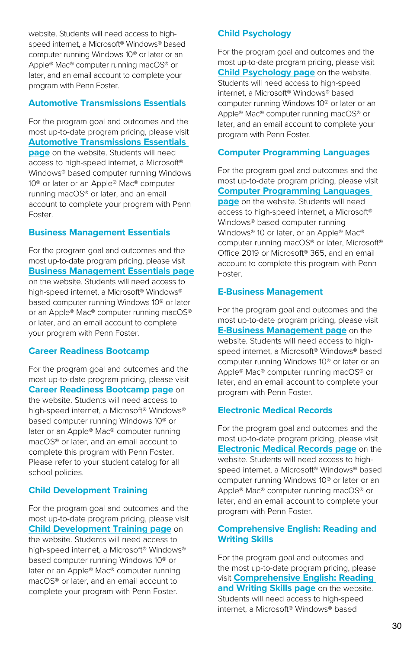website. Students will need access to highspeed internet, a Microsoft® Windows® based computer running Windows 10® or later or an Apple® Mac® computer running macOS® or later, and an email account to complete your program with Penn Foster.

#### **Automotive Transmissions Essentials**

For the program goal and outcomes and the most up-to-date program pricing, please visit **[Automotive Transmissions Essentials](https://www.pennfoster.edu/programs/automotive/automotive-transmissions-certificate)  [page](https://www.pennfoster.edu/programs/automotive/automotive-transmissions-certificate)** on the website. Students will need access to high-speed internet, a Microsoft® Windows® based computer running Windows 10® or later or an Apple® Mac® computer running macOS® or later, and an email account to complete your program with Penn Foster.

#### **Business Management Essentials**

For the program goal and outcomes and the most up-to-date program pricing, please visit **[Business Management Essentials page](https://www.pennfoster.edu/programs/business/business-management-essentials-certificate)** on the website. Students will need access to high-speed internet, a Microsoft® Windows® based computer running Windows 10® or later or an Apple® Mac® computer running macOS® or later, and an email account to complete your program with Penn Foster.

#### **Career Readiness Bootcamp**

For the program goal and outcomes and the most up-to-date program pricing, please visit **[Career Readiness Bootcamp page](https://www.pennfoster.edu/programs/business/career-readiness-bootcamp-certificate)** on the website. Students will need access to high-speed internet, a Microsoft® Windows® based computer running Windows 10® or later or an Apple® Mac® computer running macOS® or later, and an email account to complete this program with Penn Foster. Please refer to your student catalog for all school policies.

#### **Child Development Training**

For the program goal and outcomes and the most up-to-date program pricing, please visit **[Child Development Training page](https://www.pennfoster.edu/programs/education/cda-career-certificate)** on the website. Students will need access to high-speed internet, a Microsoft® Windows® based computer running Windows 10® or later or an Apple® Mac® computer running macOS® or later, and an email account to complete your program with Penn Foster.

#### **Child Psychology**

For the program goal and outcomes and the most up-to-date program pricing, please visit **[Child Psychology page](https://www.pennfoster.edu/programs/education/child-psychology-certificate)** on the website. Students will need access to high-speed internet, a Microsoft® Windows® based computer running Windows 10® or later or an Apple® Mac® computer running macOS® or later, and an email account to complete your program with Penn Foster.

#### **Computer Programming Languages**

For the program goal and outcomes and the most up-to-date program pricing, please visit **[Computer Programming Languages](https://www.pennfoster.edu/programs/computers/computer-programming-certificate)  [page](https://www.pennfoster.edu/programs/computers/computer-programming-certificate)** on the website. Students will need access to high-speed internet, a Microsoft® Windows® based computer running Windows® 10 or later, or an Apple® Mac® computer running macOS® or later, Microsoft® Office 2019 or Microsoft® 365, and an email account to complete this program with Penn Foster.

#### **E-Business Management**

For the program goal and outcomes and the most up-to-date program pricing, please visit **[E-Business Management page](https://www.pennfoster.edu/programs/business/e-business-management-certificate)** on the website. Students will need access to highspeed internet, a Microsoft® Windows® based computer running Windows 10® or later or an Apple® Mac® computer running macOS® or later, and an email account to complete your program with Penn Foster.

#### **Electronic Medical Records**

For the program goal and outcomes and the most up-to-date program pricing, please visit **[Electronic Medical Records page](https://www.pennfoster.edu/programs/healthcare/electronic-medical-records-certificate)** on the website. Students will need access to highspeed internet, a Microsoft® Windows® based computer running Windows 10® or later or an Apple® Mac® computer running macOS® or later, and an email account to complete your program with Penn Foster.

#### **Comprehensive English: Reading and Writing Skills**

For the program goal and outcomes and the most up-to-date program pricing, please visit **[Comprehensive English: Reading](https://www.pennfoster.edu/programs/education/english-comprehensive-skills-certificate)  [and Writing Skills page](https://www.pennfoster.edu/programs/education/english-comprehensive-skills-certificate)** on the website. Students will need access to high-speed internet, a Microsoft® Windows® based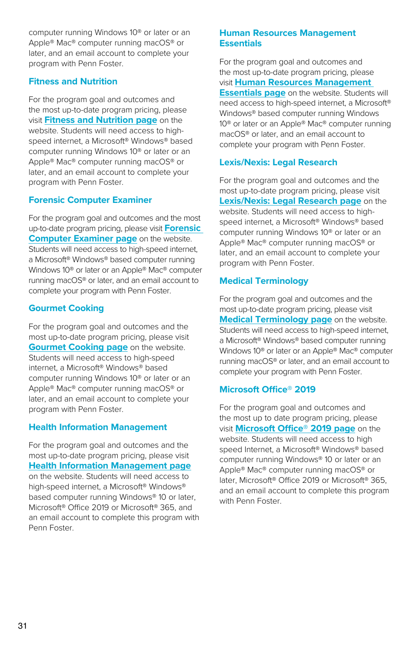computer running Windows 10® or later or an Apple® Mac® computer running macOS® or later, and an email account to complete your program with Penn Foster.

#### **Fitness and Nutrition**

For the program goal and outcomes and the most up-to-date program pricing, please visit **[Fitness and Nutrition page](https://www.pennfoster.edu/programs/fitness/fitness-and-nutrition-certificate)** on the website. Students will need access to highspeed internet, a Microsoft® Windows® based computer running Windows 10® or later or an Apple® Mac® computer running macOS® or later, and an email account to complete your program with Penn Foster.

#### **Forensic Computer Examiner**

For the program goal and outcomes and the most up-to-date program pricing, please visit **[Forensic](https://www.pennfoster.edu/programs/legal/forensic-computer-examiner-certificate)  [Computer Examiner page](https://www.pennfoster.edu/programs/legal/forensic-computer-examiner-certificate)** on the website. Students will need access to high-speed internet, a Microsoft® Windows® based computer running Windows 10® or later or an Apple® Mac® computer running macOS® or later, and an email account to complete your program with Penn Foster.

#### **Gourmet Cooking**

For the program goal and outcomes and the most up-to-date program pricing, please visit **[Gourmet Cooking page](https://www.pennfoster.edu/programs/fitness/gourmet-cooking-certificate)** on the website. Students will need access to high-speed internet, a Microsoft® Windows® based computer running Windows 10® or later or an Apple® Mac® computer running macOS® or later, and an email account to complete your program with Penn Foster.

#### **Health Information Management**

For the program goal and outcomes and the most up-to-date program pricing, please visit **[Health Information Management page](https://www.pennfoster.edu/programs/healthcare/health-information-management-certificate)** on the website. Students will need access to high-speed internet, a Microsoft® Windows® based computer running Windows® 10 or later, Microsoft® Office 2019 or Microsoft® 365, and an email account to complete this program with Penn Foster.

#### **Human Resources Management Essentials**

For the program goal and outcomes and the most up-to-date program pricing, please visit **[Human Resources Management](https://www.pennfoster.edu/programs/business/human-resources-management-certificate)  [Essentials page](https://www.pennfoster.edu/programs/business/human-resources-management-certificate)** on the website. Students will need access to high-speed internet, a Microsoft® Windows® based computer running Windows 10® or later or an Apple® Mac® computer running macOS® or later, and an email account to complete your program with Penn Foster.

#### **Lexis/Nexis: Legal Research**

For the program goal and outcomes and the most up-to-date program pricing, please visit **[Lexis/Nexis: Legal Research page](https://www.pennfoster.edu/programs/legal/lexisnexis-legal-research-certificate)** on the website. Students will need access to highspeed internet, a Microsoft® Windows® based computer running Windows 10® or later or an Apple® Mac® computer running macOS® or later, and an email account to complete your program with Penn Foster.

#### **Medical Terminology**

For the program goal and outcomes and the most up-to-date program pricing, please visit **[Medical Terminology page](https://www.pennfoster.edu/programs/healthcare/medical-terminology-certificate)** on the website. Students will need access to high-speed internet, a Microsoft® Windows® based computer running Windows 10® or later or an Apple® Mac® computer running macOS® or later, and an email account to complete your program with Penn Foster.

#### **Microsoft Office® 2019**

For the program goal and outcomes and the most up to date program pricing, please visit **[Microsoft Office® 2019 page](https://www.pennfoster.edu/programs/business/msoffice2019-certificate)** on the website. Students will need access to high speed Internet, a Microsoft® Windows® based computer running Windows® 10 or later or an Apple® Mac® computer running macOS® or later, Microsoft® Office 2019 or Microsoft® 365, and an email account to complete this program with Penn Foster.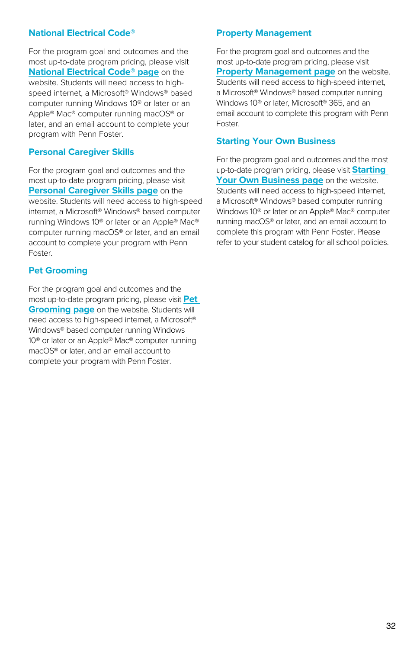#### **National Electrical Code®**

For the program goal and outcomes and the most up-to-date program pricing, please visit **[National Electrical Code® page](https://www.pennfoster.edu/programs/trades/national-electrical-code-certificate)** on the website. Students will need access to highspeed internet, a Microsoft® Windows® based computer running Windows 10® or later or an Apple® Mac® computer running macOS® or later, and an email account to complete your program with Penn Foster.

#### **Personal Caregiver Skills**

For the program goal and outcomes and the most up-to-date program pricing, please visit **[Personal Caregiver Skills page](https://www.pennfoster.edu/programs/healthcare/personal-caregiver-certificate)** on the website. Students will need access to high-speed internet, a Microsoft® Windows® based computer running Windows 10® or later or an Apple® Mac® computer running macOS® or later, and an email account to complete your program with Penn Foster.

#### **Pet Grooming**

For the program goal and outcomes and the most up-to-date program pricing, please visit **[Pet](https://www.pennfoster.edu/programs/veterinary/pet-grooming-certificate)  [Grooming page](https://www.pennfoster.edu/programs/veterinary/pet-grooming-certificate)** on the website. Students will need access to high-speed internet, a Microsoft® Windows® based computer running Windows 10® or later or an Apple® Mac® computer running macOS® or later, and an email account to complete your program with Penn Foster.

#### **Property Management**

For the program goal and outcomes and the most up-to-date program pricing, please visit **[Property Management page](https://www.pennfoster.edu/programs/business/property-management-certificate)** on the website. Students will need access to high-speed internet, a Microsoft® Windows® based computer running Windows 10® or later, Microsoft® 365, and an email account to complete this program with Penn Foster.

#### **Starting Your Own Business**

For the program goal and outcomes and the most up-to-date program pricing, please visit **[Starting](https://www.pennfoster.edu/programs/business/starting-a-business-certificate)  [Your Own Business page](https://www.pennfoster.edu/programs/business/starting-a-business-certificate)** on the website. Students will need access to high-speed internet, a Microsoft® Windows® based computer running Windows 10® or later or an Apple® Mac® computer running macOS® or later, and an email account to complete this program with Penn Foster. Please refer to your student catalog for all school policies.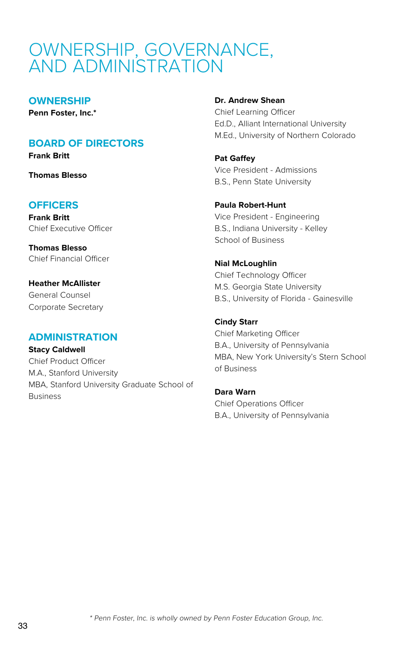### OWNERSHIP, GOVERNANCE, AND ADMINISTRATION

#### **OWNERSHIP**

**Penn Foster, Inc.\***

#### **BOARD OF DIRECTORS**

**Frank Britt**

**Thomas Blesso**

#### **OFFICERS**

**Frank Britt** Chief Executive Officer

**Thomas Blesso** Chief Financial Officer

**Heather McAllister** General Counsel Corporate Secretary

#### **ADMINISTRATION**

**Stacy Caldwell** Chief Product Officer M.A., Stanford University MBA, Stanford University Graduate School of Business

#### **Dr. Andrew Shean**

Chief Learning Officer Ed.D., Alliant International University M.Ed., University of Northern Colorado

**Pat Gaffey** Vice President - Admissions B.S., Penn State University

**Paula Robert-Hunt** Vice President - Engineering B.S., Indiana University - Kelley School of Business

**Nial McLoughlin** Chief Technology Officer M.S. Georgia State University B.S., University of Florida - Gainesville

#### **Cindy Starr**

Chief Marketing Officer B.A., University of Pennsylvania MBA, New York University's Stern School of Business

**Dara Warn** Chief Operations Officer B.A., University of Pennsylvania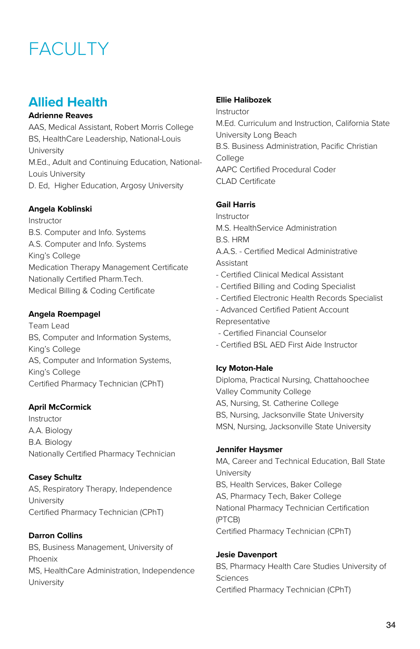# **FACULTY**

### **Allied Health**

#### **Adrienne Reaves**

AAS, Medical Assistant, Robert Morris College BS, HealthCare Leadership, National-Louis University M.Ed., Adult and Continuing Education, National-Louis University D. Ed, Higher Education, Argosy University

#### **Angela Koblinski**

Instructor B.S. Computer and Info. Systems A.S. Computer and Info. Systems King's College Medication Therapy Management Certificate Nationally Certified Pharm.Tech. Medical Billing & Coding Certificate

#### **Angela Roempagel**

Team Lead BS, Computer and Information Systems, King's College AS, Computer and Information Systems, King's College Certified Pharmacy Technician (CPhT)

#### **April McCormick**

Instructor A.A. Biology B.A. Biology Nationally Certified Pharmacy Technician

#### **Casey Schultz**

AS, Respiratory Therapy, Independence University Certified Pharmacy Technician (CPhT)

**Darron Collins**  BS, Business Management, University of Phoenix MS, HealthCare Administration, Independence University

#### **Ellie Halibozek**

Instructor M.Ed. Curriculum and Instruction, California State University Long Beach B.S. Business Administration, Pacific Christian College AAPC Certified Procedural Coder CLAD Certificate

#### **Gail Harris**

Instructor M.S. HealthService Administration B.S. HRM A.A.S. - Certified Medical Administrative Assistant - Certified Clinical Medical Assistant - Certified Billing and Coding Specialist - Certified Electronic Health Records Specialist

- Advanced Certified Patient Account Representative

- Certified Financial Counselor
- Certified BSL AED First Aide Instructor

#### **Icy Moton-Hale**

Diploma, Practical Nursing, Chattahoochee Valley Community College AS, Nursing, St. Catherine College BS, Nursing, Jacksonville State University MSN, Nursing, Jacksonville State University

#### **Jennifer Haysmer**

MA, Career and Technical Education, Ball State University BS, Health Services, Baker College AS, Pharmacy Tech, Baker College National Pharmacy Technician Certification (PTCB) Certified Pharmacy Technician (CPhT)

#### **Jesie Davenport** BS, Pharmacy Health Care Studies University of Sciences Certified Pharmacy Technician (CPhT)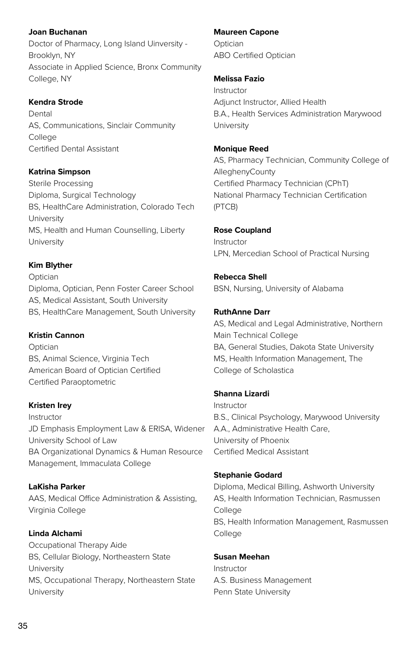**Joan Buchanan**  Doctor of Pharmacy, Long Island Uinversity - Brooklyn, NY Associate in Applied Science, Bronx Community College, NY

#### **Kendra Strode**

Dental AS, Communications, Sinclair Community College Certified Dental Assistant

#### **Katrina Simpson**

Sterile Processing Diploma, Surgical Technology BS, HealthCare Administration, Colorado Tech University MS, Health and Human Counselling, Liberty University

#### **Kim Blyther**

Optician Diploma, Optician, Penn Foster Career School AS, Medical Assistant, South University BS, HealthCare Management, South University

#### **Kristin Cannon**

Optician BS, Animal Science, Virginia Tech American Board of Optician Certified Certified Paraoptometric

#### **Kristen Irey**

Instructor JD Emphasis Employment Law & ERISA, Widener University School of Law BA Organizational Dynamics & Human Resource Management, Immaculata College

**LaKisha Parker**  AAS, Medical Office Administration & Assisting, Virginia College

**Linda Alchami**  Occupational Therapy Aide BS, Cellular Biology, Northeastern State University MS, Occupational Therapy, Northeastern State University

#### **Maureen Capone**

Optician ABO Certified Optician

#### **Melissa Fazio**

Instructor Adjunct Instructor, Allied Health B.A., Health Services Administration Marywood **University** 

#### **Monique Reed**

AS, Pharmacy Technician, Community College of AlleghenyCounty Certified Pharmacy Technician (CPhT) National Pharmacy Technician Certification (PTCB)

#### **Rose Coupland**

Instructor LPN, Mercedian School of Practical Nursing

#### **Rebecca Shell**

BSN, Nursing, University of Alabama

#### **RuthAnne Darr**

AS, Medical and Legal Administrative, Northern Main Technical College BA, General Studies, Dakota State University MS, Health Information Management, The College of Scholastica

#### **Shanna Lizardi**

Instructor B.S., Clinical Psychology, Marywood University A.A., Administrative Health Care, University of Phoenix Certified Medical Assistant

#### **Stephanie Godard**

Diploma, Medical Billing, Ashworth University AS, Health Information Technician, Rasmussen College BS, Health Information Management, Rasmussen College

#### **Susan Meehan**

Instructor A.S. Business Management Penn State University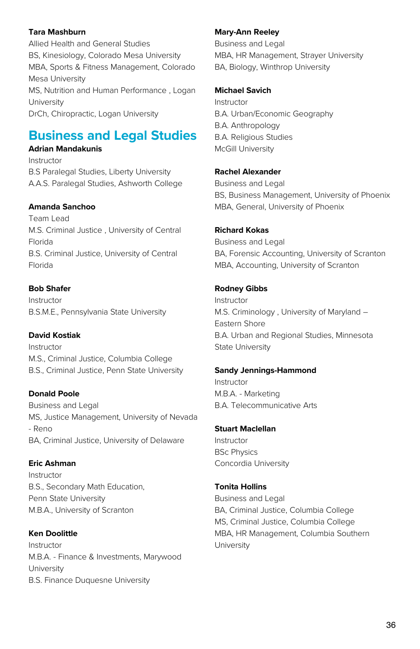#### **Tara Mashburn**

Allied Health and General Studies BS, Kinesiology, Colorado Mesa University MBA, Sports & Fitness Management, Colorado Mesa University MS, Nutrition and Human Performance , Logan University DrCh, Chiropractic, Logan University

### **Business and Legal Studies**

#### **Adrian Mandakunis**

Instructor B.S Paralegal Studies, Liberty University A.A.S. Paralegal Studies, Ashworth College

#### **Amanda Sanchoo**

Team Lead M.S. Criminal Justice , University of Central Florida B.S. Criminal Justice, University of Central Florida

#### **Bob Shafer**

Instructor B.S.M.E., Pennsylvania State University

#### **David Kostiak**

Instructor M.S., Criminal Justice, Columbia College B.S., Criminal Justice, Penn State University

#### **Donald Poole**

Business and Legal MS, Justice Management, University of Nevada - Reno BA, Criminal Justice, University of Delaware

#### **Eric Ashman**

Instructor B.S., Secondary Math Education, Penn State University M.B.A., University of Scranton

#### **Ken Doolittle**

Instructor M.B.A. - Finance & Investments, Marywood University B.S. Finance Duquesne University

#### **Mary-Ann Reeley**

Business and Legal MBA, HR Management, Strayer University BA, Biology, Winthrop University

#### **Michael Savich**

Instructor B.A. Urban/Economic Geography B.A. Anthropology B.A. Religious Studies McGill University

#### **Rachel Alexander**

Business and Legal BS, Business Management, University of Phoenix MBA, General, University of Phoenix

#### **Richard Kokas**

Business and Legal BA, Forensic Accounting, University of Scranton MBA, Accounting, University of Scranton

#### **Rodney Gibbs**

Instructor M.S. Criminology , University of Maryland – Eastern Shore B.A. Urban and Regional Studies, Minnesota State University

#### **Sandy Jennings-Hammond**

Instructor M.B.A. - Marketing B.A. Telecommunicative Arts

#### **Stuart Maclellan**

Instructor BSc Physics Concordia University

#### **Tonita Hollins**

Business and Legal BA, Criminal Justice, Columbia College MS, Criminal Justice, Columbia College MBA, HR Management, Columbia Southern University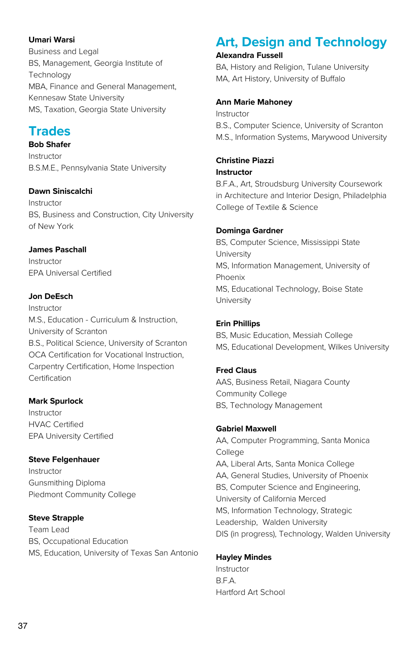#### **Umari Warsi**

Business and Legal BS, Management, Georgia Institute of **Technology** MBA, Finance and General Management, Kennesaw State University MS, Taxation, Georgia State University

### **Trades**

**Bob Shafer** Instructor B.S.M.E., Pennsylvania State University

#### **Dawn Siniscalchi**

Instructor BS, Business and Construction, City University of New York

#### **James Paschall**

Instructor EPA Universal Certified

#### **Jon DeEsch**

Instructor M.S., Education - Curriculum & Instruction, University of Scranton B.S., Political Science, University of Scranton OCA Certification for Vocational Instruction, Carpentry Certification, Home Inspection Certification

#### **Mark Spurlock**

Instructor HVAC Certified EPA University Certified

#### **Steve Felgenhauer**

Instructor Gunsmithing Diploma Piedmont Community College

#### **Steve Strapple**

Team Lead BS, Occupational Education MS, Education, University of Texas San Antonio

### **Art, Design and Technology**

#### **Alexandra Fussell**

BA, History and Religion, Tulane University MA, Art History, University of Buffalo

#### **Ann Marie Mahoney**

Instructor B.S., Computer Science, University of Scranton M.S., Information Systems, Marywood University

#### **Christine Piazzi**

**Instructor**

B.F.A., Art, Stroudsburg University Coursework in Architecture and Interior Design, Philadelphia College of Textile & Science

#### **Dominga Gardner**

BS, Computer Science, Mississippi State University MS, Information Management, University of Phoenix MS, Educational Technology, Boise State University

#### **Erin Phillips**

BS, Music Education, Messiah College MS, Educational Development, Wilkes University

#### **Fred Claus**

AAS, Business Retail, Niagara County Community College BS, Technology Management

#### **Gabriel Maxwell**

AA, Computer Programming, Santa Monica College AA, Liberal Arts, Santa Monica College AA, General Studies, University of Phoenix BS, Computer Science and Engineering, University of California Merced MS, Information Technology, Strategic Leadership, Walden University DIS (in progress), Technology, Walden University

#### **Hayley Mindes**

Instructor B.F.A. Hartford Art School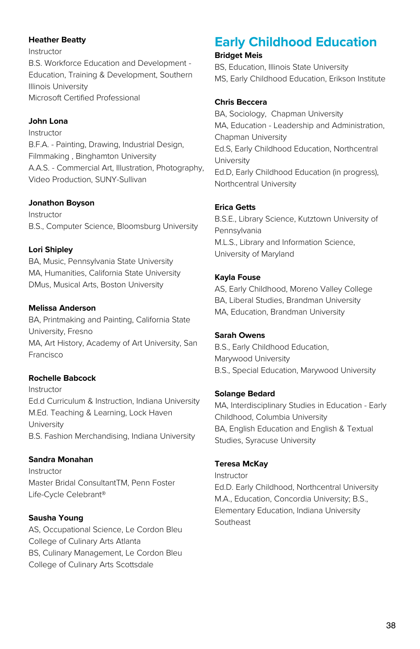#### **Heather Beatty**

Instructor B.S. Workforce Education and Development - Education, Training & Development, Southern Illinois University Microsoft Certified Professional

#### **John Lona**

Instructor B.F.A. - Painting, Drawing, Industrial Design, Filmmaking , Binghamton University A.A.S. - Commercial Art, Illustration, Photography, Video Production, SUNY-Sullivan

#### **Jonathon Boyson**

Instructor B.S., Computer Science, Bloomsburg University

#### **Lori Shipley**

BA, Music, Pennsylvania State University MA, Humanities, California State University DMus, Musical Arts, Boston University

#### **Melissa Anderson**

BA, Printmaking and Painting, California State University, Fresno MA, Art History, Academy of Art University, San Francisco

#### **Rochelle Babcock**

Instructor Ed.d Curriculum & Instruction, Indiana University M.Ed. Teaching & Learning, Lock Haven University B.S. Fashion Merchandising, Indiana University

#### **Sandra Monahan**

Instructor Master Bridal ConsultantTM, Penn Foster Life-Cycle Celebrant®

#### **Sausha Young**

AS, Occupational Science, Le Cordon Bleu College of Culinary Arts Atlanta BS, Culinary Management, Le Cordon Bleu College of Culinary Arts Scottsdale

### **Early Childhood Education**

#### **Bridget Meis**

BS, Education, Illinois State University MS, Early Childhood Education, Erikson Institute

#### **Chris Beccera**

BA, Sociology, Chapman University MA, Education - Leadership and Administration, Chapman University Ed.S, Early Childhood Education, Northcentral University Ed.D, Early Childhood Education (in progress), Northcentral University

#### **Erica Getts**

B.S.E., Library Science, Kutztown University of Pennsylvania M.L.S., Library and Information Science, University of Maryland

#### **Kayla Fouse**

AS, Early Childhood, Moreno Valley College BA, Liberal Studies, Brandman University MA, Education, Brandman University

#### **Sarah Owens**

B.S., Early Childhood Education, Marywood University B.S., Special Education, Marywood University

#### **Solange Bedard**

MA, Interdisciplinary Studies in Education - Early Childhood, Columbia University BA, English Education and English & Textual Studies, Syracuse University

#### **Teresa McKay**

Instructor Ed.D. Early Childhood, Northcentral University M.A., Education, Concordia University; B.S., Elementary Education, Indiana University Southeast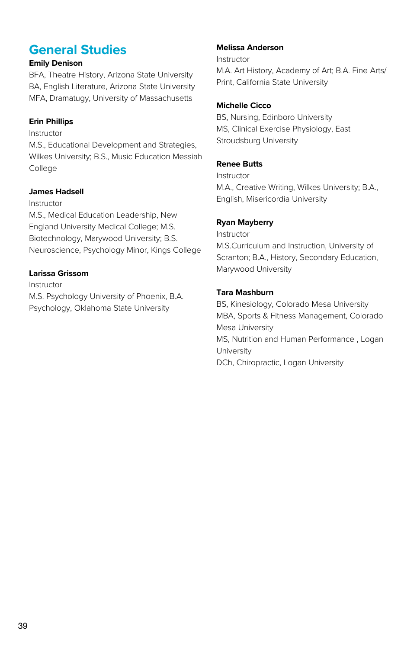### **General Studies**

#### **Emily Denison**

BFA, Theatre History, Arizona State University BA, English Literature, Arizona State University MFA, Dramatugy, University of Massachusetts

#### **Erin Phillips**

#### Instructor

M.S., Educational Development and Strategies, Wilkes University; B.S., Music Education Messiah College

#### **James Hadsell**

#### Instructor

M.S., Medical Education Leadership, New England University Medical College; M.S. Biotechnology, Marywood University; B.S. Neuroscience, Psychology Minor, Kings College

#### **Larissa Grissom**

Instructor

M.S. Psychology University of Phoenix, B.A. Psychology, Oklahoma State University

#### **Melissa Anderson**

Instructor M.A. Art History, Academy of Art; B.A. Fine Arts/ Print, California State University

#### **Michelle Cicco**

BS, Nursing, Edinboro University MS, Clinical Exercise Physiology, East Stroudsburg University

#### **Renee Butts**

Instructor M.A., Creative Writing, Wilkes University; B.A., English, Misericordia University

#### **Ryan Mayberry**

Instructor M.S.Curriculum and Instruction, University of Scranton; B.A., History, Secondary Education, Marywood University

#### **Tara Mashburn**

BS, Kinesiology, Colorado Mesa University MBA, Sports & Fitness Management, Colorado Mesa University MS, Nutrition and Human Performance , Logan University DCh, Chiropractic, Logan University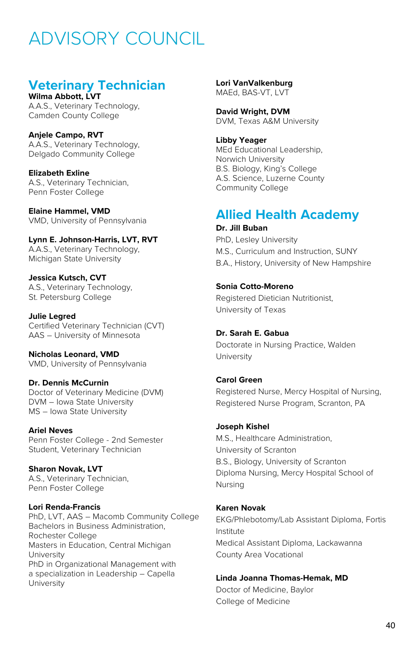# ADVISORY COUNCIL

### **Veterinary Technician**

**Wilma Abbott, LVT** A.A.S., Veterinary Technology, Camden County College

**Anjele Campo, RVT** A.A.S., Veterinary Technology, Delgado Community College

**Elizabeth Exline** A.S., Veterinary Technician, Penn Foster College

**Elaine Hammel, VMD** VMD, University of Pennsylvania

**Lynn E. Johnson-Harris, LVT, RVT** A.A.S., Veterinary Technology, Michigan State University

**Jessica Kutsch, CVT** A.S., Veterinary Technology, St. Petersburg College

**Julie Legred** Certified Veterinary Technician (CVT) AAS – University of Minnesota

**Nicholas Leonard, VMD** VMD, University of Pennsylvania

**Dr. Dennis McCurnin** Doctor of Veterinary Medicine (DVM) DVM – Iowa State University MS – Iowa State University

**Ariel Neves** Penn Foster College - 2nd Semester Student, Veterinary Technician

**Sharon Novak, LVT** A.S., Veterinary Technician, Penn Foster College

#### **Lori Renda-Francis**

PhD, LVT, AAS – Macomb Community College Bachelors in Business Administration, Rochester College Masters in Education, Central Michigan University PhD in Organizational Management with a specialization in Leadership – Capella **University** 

**Lori VanValkenburg** MAEd, BAS-VT, LVT

**David Wright, DVM** DVM, Texas A&M University

**Libby Yeager** MEd Educational Leadership, Norwich University B.S. Biology, King's College A.S. Science, Luzerne County Community College

#### **Allied Health Academy Dr. Jill Buban**

PhD, Lesley University M.S., Curriculum and Instruction, SUNY B.A., History, University of New Hampshire

#### **Sonia Cotto-Moreno**

Registered Dietician Nutritionist, University of Texas

#### **Dr. Sarah E. Gabua**

Doctorate in Nursing Practice, Walden University

**Carol Green** Registered Nurse, Mercy Hospital of Nursing, Registered Nurse Program, Scranton, PA

#### **Joseph Kishel**

M.S., Healthcare Administration, University of Scranton B.S., Biology, University of Scranton Diploma Nursing, Mercy Hospital School of Nursing

#### **Karen Novak**

EKG/Phlebotomy/Lab Assistant Diploma, Fortis Institute Medical Assistant Diploma, Lackawanna County Area Vocational

#### **Linda Joanna Thomas-Hemak, MD**

Doctor of Medicine, Baylor College of Medicine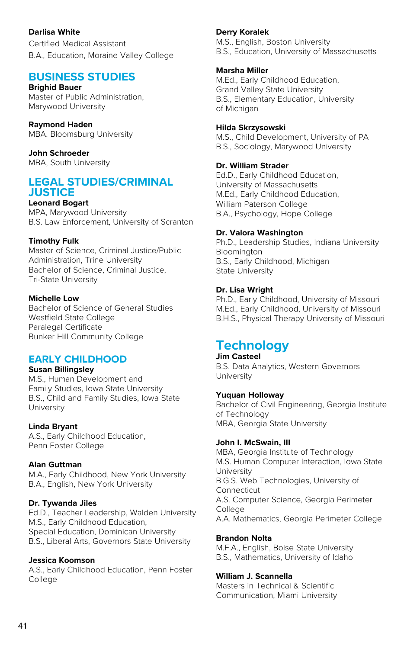**Darlisa White**

Certified Medical Assistant B.A., Education, Moraine Valley College

### **BUSINESS STUDIES**

**Brighid Bauer** Master of Public Administration, Marywood University

**Raymond Haden** MBA. Bloomsburg University

**John Schroeder**  MBA, South University

#### **LEGAL STUDIES/CRIMINAL JUSTICE**

**Leonard Bogart**

MPA, Marywood University B.S. Law Enforcement, University of Scranton

#### **Timothy Fulk**

Master of Science, Criminal Justice/Public Administration, Trine University Bachelor of Science, Criminal Justice, Tri-State University

#### **Michelle Low**

Bachelor of Science of General Studies Westfield State College Paralegal Certificate Bunker Hill Community College

#### **EARLY CHILDHOOD**

#### **Susan Billingsley**

M.S., Human Development and Family Studies, Iowa State University B.S., Child and Family Studies, Iowa State University

#### **Linda Bryant**

A.S., Early Childhood Education, Penn Foster College

#### **Alan Guttman**

M.A., Early Childhood, New York University B.A., English, New York University

#### **Dr. Tywanda Jiles**

Ed.D., Teacher Leadership, Walden University M.S., Early Childhood Education, Special Education, Dominican University B.S., Liberal Arts, Governors State University

#### **Jessica Koomson**

A.S., Early Childhood Education, Penn Foster College

#### **Derry Koralek**

M.S., English, Boston University B.S., Education, University of Massachusetts

#### **Marsha Miller**

M.Ed., Early Childhood Education, Grand Valley State University B.S., Elementary Education, University of Michigan

#### **Hilda Skrzysowski**

M.S., Child Development, University of PA B.S., Sociology, Marywood University

#### **Dr. William Strader**

Ed.D., Early Childhood Education, University of Massachusetts M.Ed., Early Childhood Education, William Paterson College B.A., Psychology, Hope College

#### **Dr. Valora Washington**

Ph.D., Leadership Studies, Indiana University Bloomington B.S., Early Childhood, Michigan State University

#### **Dr. Lisa Wright**

Ph.D., Early Childhood, University of Missouri M.Ed., Early Childhood, University of Missouri B.H.S., Physical Therapy University of Missouri

### **Technology**

#### **Jim Casteel** B.S. Data Analytics, Western Governors **University**

#### **Yuquan Holloway**

Bachelor of Civil Engineering, Georgia Institute of Technology MBA, Georgia State University

#### **John I. McSwain, III**

MBA, Georgia Institute of Technology M.S. Human Computer Interaction, Iowa State University B.G.S. Web Technologies, University of **Connecticut** A.S. Computer Science, Georgia Perimeter College A.A. Mathematics, Georgia Perimeter College

#### **Brandon Nolta**

M.F.A., English, Boise State University B.S., Mathematics, University of Idaho

#### **William J. Scannella**

Masters in Technical & Scientific Communication, Miami University